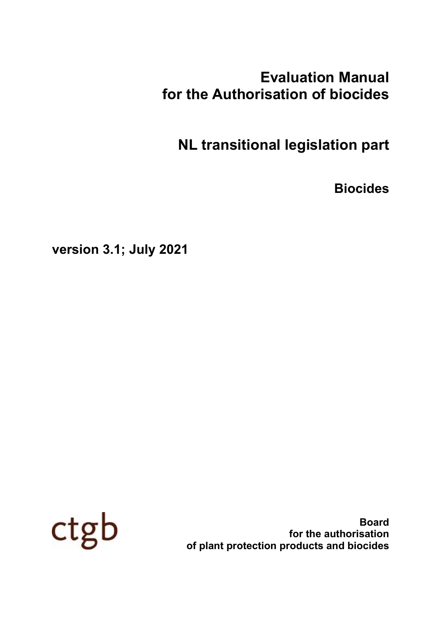# **Evaluation Manual for the Authorisation of biocides**

**NL transitional legislation part**

**Biocides**

**version 3.1; July 2021**



**Board for the authorisation of plant protection products and biocides**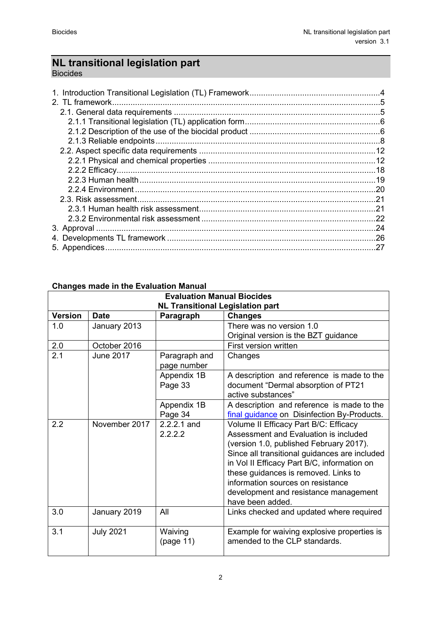# **NL transitional legislation part**

Biocides

# **Changes made in the Evaluation Manual**

| <b>Evaluation Manual Biocides</b>       |                                            |                              |                                                                                                                                                                                                                                                                                                                                                                     |  |  |  |
|-----------------------------------------|--------------------------------------------|------------------------------|---------------------------------------------------------------------------------------------------------------------------------------------------------------------------------------------------------------------------------------------------------------------------------------------------------------------------------------------------------------------|--|--|--|
| <b>NL Transitional Legislation part</b> |                                            |                              |                                                                                                                                                                                                                                                                                                                                                                     |  |  |  |
| <b>Version</b>                          | <b>Date</b><br>Paragraph<br><b>Changes</b> |                              |                                                                                                                                                                                                                                                                                                                                                                     |  |  |  |
| 1.0                                     | January 2013                               |                              | There was no version 1.0                                                                                                                                                                                                                                                                                                                                            |  |  |  |
|                                         |                                            |                              | Original version is the BZT guidance                                                                                                                                                                                                                                                                                                                                |  |  |  |
| 2.0                                     | October 2016                               |                              | First version written                                                                                                                                                                                                                                                                                                                                               |  |  |  |
| 2.1                                     | <b>June 2017</b>                           | Paragraph and<br>page number | Changes                                                                                                                                                                                                                                                                                                                                                             |  |  |  |
|                                         |                                            | Appendix 1B<br>Page 33       | A description and reference is made to the<br>document "Dermal absorption of PT21<br>active substances"                                                                                                                                                                                                                                                             |  |  |  |
|                                         |                                            | Appendix 1B<br>Page 34       | A description and reference is made to the<br>final guidance on Disinfection By-Products.                                                                                                                                                                                                                                                                           |  |  |  |
| 2.2                                     | November 2017                              | 2.2.2.1 and<br>2.2.2.2       | Volume II Efficacy Part B/C: Efficacy<br>Assessment and Evaluation is included<br>(version 1.0, published February 2017).<br>Since all transitional guidances are included<br>in Vol II Efficacy Part B/C, information on<br>these guidances is removed. Links to<br>information sources on resistance<br>development and resistance management<br>have been added. |  |  |  |
| 3.0                                     | January 2019                               | All                          | Links checked and updated where required                                                                                                                                                                                                                                                                                                                            |  |  |  |
| 3.1                                     | <b>July 2021</b>                           | Waiving<br>(page 11)         | Example for waiving explosive properties is<br>amended to the CLP standards.                                                                                                                                                                                                                                                                                        |  |  |  |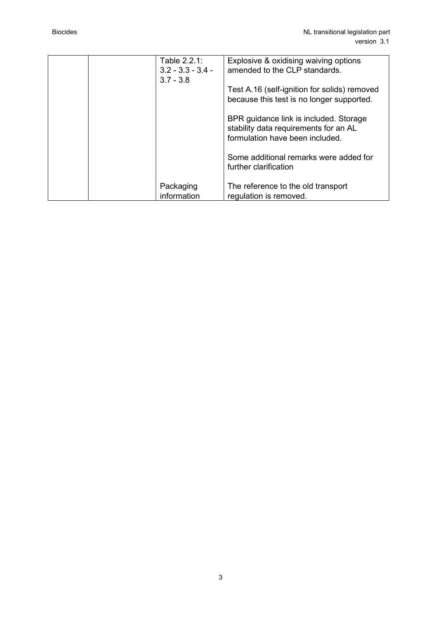|  | Table 2.2.1:<br>$3.2 - 3.3 - 3.4 -$<br>$3.7 - 3.8$ | Explosive & oxidising waiving options<br>amended to the CLP standards.                                             |
|--|----------------------------------------------------|--------------------------------------------------------------------------------------------------------------------|
|  |                                                    | Test A.16 (self-ignition for solids) removed<br>because this test is no longer supported.                          |
|  |                                                    | BPR guidance link is included. Storage<br>stability data requirements for an AL<br>formulation have been included. |
|  |                                                    | Some additional remarks were added for<br>further clarification                                                    |
|  | Packaging<br>information                           | The reference to the old transport<br>regulation is removed.                                                       |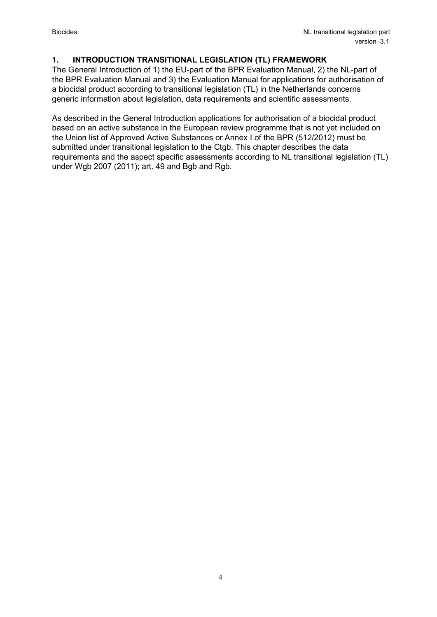### <span id="page-3-0"></span>**1. INTRODUCTION TRANSITIONAL LEGISLATION (TL) FRAMEWORK**

The General Introduction of 1) the EU-part of the BPR Evaluation Manual, 2) the NL-part of the BPR Evaluation Manual and 3) the Evaluation Manual for applications for authorisation of a biocidal product according to transitional legislation (TL) in the Netherlands concerns generic information about legislation, data requirements and scientific assessments.

As described in the General Introduction applications for authorisation of a biocidal product based on an active substance in the European review programme that is not yet included on the Union list of Approved Active Substances or Annex I of the BPR (512/2012) must be submitted under transitional legislation to the Ctgb. This chapter describes the data requirements and the aspect specific assessments according to NL transitional legislation (TL) under Wgb 2007 (2011); art. 49 and Bgb and Rgb.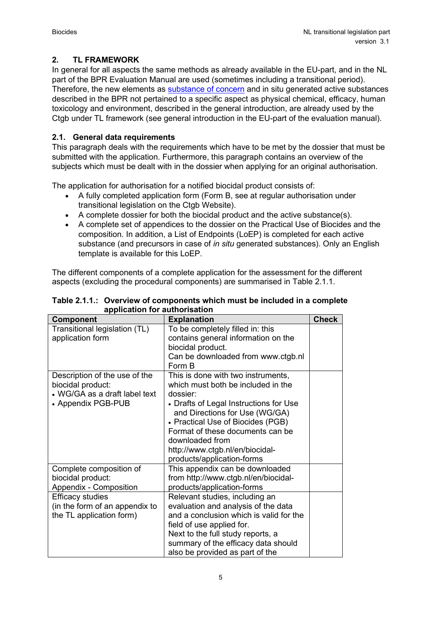# <span id="page-4-0"></span>**2. TL FRAMEWORK**

In general for all aspects the same methods as already available in the EU-part, and in the NL part of the BPR Evaluation Manual are used (sometimes including a transitional period). Therefore, the new elements as [substance of concern](https://english.ctgb.nl/biocidal-products/application-active-substance/substances-of-concern) and in situ generated active substances described in the BPR not pertained to a specific aspect as physical chemical, efficacy, human toxicology and environment, described in the general introduction, are already used by the Ctgb under TL framework (see general introduction in the EU-part of the evaluation manual).

# <span id="page-4-1"></span>**2.1. General data requirements**

This paragraph deals with the requirements which have to be met by the dossier that must be submitted with the application. Furthermore, this paragraph contains an overview of the subjects which must be dealt with in the dossier when applying for an original authorisation.

The application for authorisation for a notified biocidal product consists of:

- A fully completed application form (Form B, see at regular authorisation under transitional legislation on the Ctgb Website).
- A complete dossier for both the biocidal product and the active substance(s).
- A complete set of appendices to the dossier on the Practical Use of Biocides and the composition. In addition, a List of Endpoints (LoEP) is completed for each active substance (and precursors in case of *in situ* generated substances). Only an English template is available for this LoEP.

The different components of a complete application for the assessment for the different aspects (excluding the procedural components) are summarised in Table 2.1.1.

| <b>Component</b>               | <b>Explanation</b>                      | <b>Check</b> |
|--------------------------------|-----------------------------------------|--------------|
| Transitional legislation (TL)  | To be completely filled in: this        |              |
| application form               | contains general information on the     |              |
|                                | biocidal product.                       |              |
|                                | Can be downloaded from www.ctgb.nl      |              |
|                                | Form B                                  |              |
| Description of the use of the  | This is done with two instruments,      |              |
| biocidal product:              | which must both be included in the      |              |
| • WG/GA as a draft label text  | dossier <sup>.</sup>                    |              |
| • Appendix PGB-PUB             | • Drafts of Legal Instructions for Use  |              |
|                                | and Directions for Use (WG/GA)          |              |
|                                | • Practical Use of Biocides (PGB)       |              |
|                                | Format of these documents can be        |              |
|                                | downloaded from                         |              |
|                                | http://www.ctgb.nl/en/biocidal-         |              |
|                                | products/application-forms              |              |
| Complete composition of        | This appendix can be downloaded         |              |
| biocidal product:              | from http://www.ctgb.nl/en/biocidal-    |              |
| Appendix - Composition         | products/application-forms              |              |
| <b>Efficacy studies</b>        | Relevant studies, including an          |              |
| (in the form of an appendix to | evaluation and analysis of the data     |              |
| the TL application form)       | and a conclusion which is valid for the |              |
|                                | field of use applied for.               |              |
|                                | Next to the full study reports, a       |              |
|                                | summary of the efficacy data should     |              |
|                                | also be provided as part of the         |              |

**Table 2.1.1.: Overview of components which must be included in a complete application for authorisation**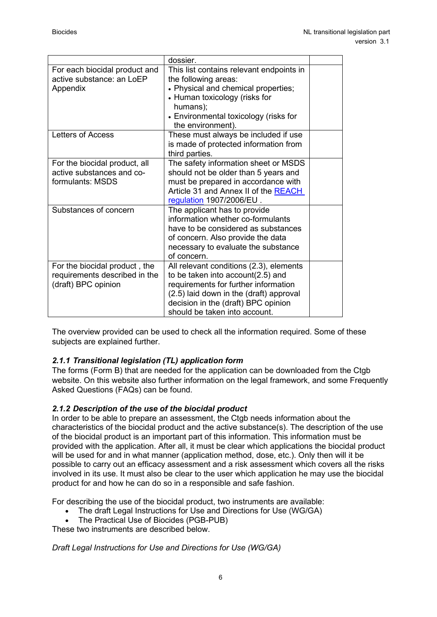|                                                                                       | dossier.                                                                                                                                                                                                                                |  |
|---------------------------------------------------------------------------------------|-----------------------------------------------------------------------------------------------------------------------------------------------------------------------------------------------------------------------------------------|--|
| For each biocidal product and<br>active substance: an LoEP<br>Appendix                | This list contains relevant endpoints in<br>the following areas:<br>• Physical and chemical properties;<br>• Human toxicology (risks for<br>humans);<br>• Environmental toxicology (risks for<br>the environment).                      |  |
| <b>Letters of Access</b>                                                              | These must always be included if use<br>is made of protected information from<br>third parties.                                                                                                                                         |  |
| For the biocidal product, all<br>active substances and co-<br>formulants: MSDS        | The safety information sheet or MSDS<br>should not be older than 5 years and<br>must be prepared in accordance with<br>Article 31 and Annex II of the REACH<br>regulation 1907/2006/EU.                                                 |  |
| Substances of concern                                                                 | The applicant has to provide<br>information whether co-formulants<br>have to be considered as substances<br>of concern. Also provide the data<br>necessary to evaluate the substance<br>of concern.                                     |  |
| For the biocidal product, the<br>requirements described in the<br>(draft) BPC opinion | All relevant conditions (2.3), elements<br>to be taken into account(2.5) and<br>requirements for further information<br>(2.5) laid down in the (draft) approval<br>decision in the (draft) BPC opinion<br>should be taken into account. |  |

The overview provided can be used to check all the information required. Some of these subjects are explained further.

# <span id="page-5-0"></span>*2.1.1 Transitional legislation (TL) application form*

The forms (Form B) that are needed for the application can be downloaded from the Ctgb website. On this website also further information on the legal framework, and some Frequently Asked Questions (FAQs) can be found.

# <span id="page-5-1"></span>*2.1.2 Description of the use of the biocidal product*

In order to be able to prepare an assessment, the Ctgb needs information about the characteristics of the biocidal product and the active substance(s). The description of the use of the biocidal product is an important part of this information. This information must be provided with the application. After all, it must be clear which applications the biocidal product will be used for and in what manner (application method, dose, etc.). Only then will it be possible to carry out an efficacy assessment and a risk assessment which covers all the risks involved in its use. It must also be clear to the user which application he may use the biocidal product for and how he can do so in a responsible and safe fashion.

For describing the use of the biocidal product, two instruments are available:

- The draft Legal Instructions for Use and Directions for Use (WG/GA)
	- The Practical Use of Biocides (PGB-PUB)

These two instruments are described below.

*Draft Legal Instructions for Use and Directions for Use (WG/GA)*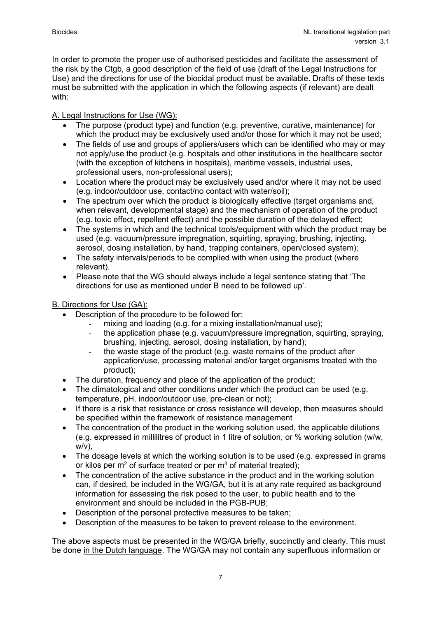In order to promote the proper use of authorised pesticides and facilitate the assessment of the risk by the Ctgb, a good description of the field of use (draft of the Legal Instructions for Use) and the directions for use of the biocidal product must be available. Drafts of these texts must be submitted with the application in which the following aspects (if relevant) are dealt with:

# A. Legal Instructions for Use (WG):

- The purpose (product type) and function (e.g. preventive, curative, maintenance) for which the product may be exclusively used and/or those for which it may not be used;
- The fields of use and groups of appliers/users which can be identified who may or may not apply/use the product (e.g. hospitals and other institutions in the healthcare sector (with the exception of kitchens in hospitals), maritime vessels, industrial uses, professional users, non-professional users);
- Location where the product may be exclusively used and/or where it may not be used (e.g. indoor/outdoor use, contact/no contact with water/soil);
- The spectrum over which the product is biologically effective (target organisms and, when relevant, developmental stage) and the mechanism of operation of the product (e.g. toxic effect, repellent effect) and the possible duration of the delayed effect;
- The systems in which and the technical tools/equipment with which the product may be used (e.g. vacuum/pressure impregnation, squirting, spraying, brushing, injecting, aerosol, dosing installation, by hand, trapping containers, open/closed system);
- The safety intervals/periods to be complied with when using the product (where relevant).
- Please note that the WG should always include a legal sentence stating that 'The directions for use as mentioned under B need to be followed up'.

# B. Directions for Use (GA):

- Description of the procedure to be followed for:
	- mixing and loading (e.g. for a mixing installation/manual use);<br>- the application phase (e.g. vacuum/pressure impregnation, sq
	- the application phase (e.g. vacuum/pressure impregnation, squirting, spraying, brushing, injecting, aerosol, dosing installation, by hand);
	- the waste stage of the product (e.g. waste remains of the product after application/use, processing material and/or target organisms treated with the product);
- The duration, frequency and place of the application of the product;
- The climatological and other conditions under which the product can be used (e.g. temperature, pH, indoor/outdoor use, pre-clean or not);
- If there is a risk that resistance or cross resistance will develop, then measures should be specified within the framework of resistance management
- The concentration of the product in the working solution used, the applicable dilutions (e.g. expressed in millilitres of product in 1 litre of solution, or % working solution (w/w,  $w/v$ ).
- The dosage levels at which the working solution is to be used (e.g. expressed in grams or kilos per  $m^2$  of surface treated or per  $m^3$  of material treated);
- The concentration of the active substance in the product and in the working solution can, if desired, be included in the WG/GA, but it is at any rate required as background information for assessing the risk posed to the user, to public health and to the environment and should be included in the PGB-PUB;
- Description of the personal protective measures to be taken;
- Description of the measures to be taken to prevent release to the environment.

The above aspects must be presented in the WG/GA briefly, succinctly and clearly. This must be done in the Dutch language. The WG/GA may not contain any superfluous information or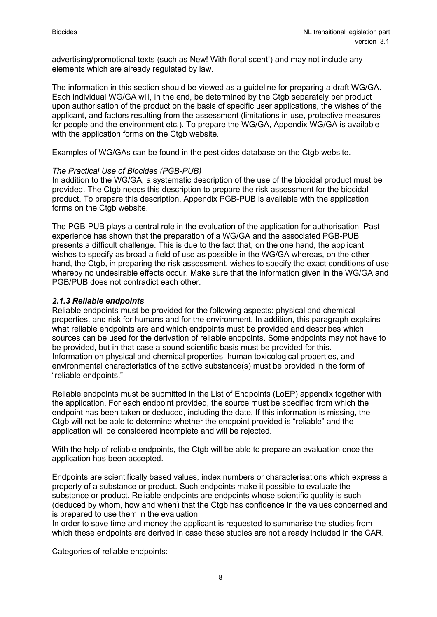advertising/promotional texts (such as New! With floral scent!) and may not include any elements which are already regulated by law.

The information in this section should be viewed as a guideline for preparing a draft WG/GA. Each individual WG/GA will, in the end, be determined by the Ctgb separately per product upon authorisation of the product on the basis of specific user applications, the wishes of the applicant, and factors resulting from the assessment (limitations in use, protective measures for people and the environment etc.). To prepare the WG/GA, Appendix WG/GA is available with the application forms on the Ctab website.

Examples of WG/GAs can be found in the pesticides database on the Ctgb website.

#### *The Practical Use of Biocides (PGB-PUB)*

In addition to the WG/GA, a systematic description of the use of the biocidal product must be provided. The Ctgb needs this description to prepare the risk assessment for the biocidal product. To prepare this description, Appendix PGB-PUB is available with the application forms on the Ctgb website.

The PGB-PUB plays a central role in the evaluation of the application for authorisation. Past experience has shown that the preparation of a WG/GA and the associated PGB-PUB presents a difficult challenge. This is due to the fact that, on the one hand, the applicant wishes to specify as broad a field of use as possible in the WG/GA whereas, on the other hand, the Ctgb, in preparing the risk assessment, wishes to specify the exact conditions of use whereby no undesirable effects occur. Make sure that the information given in the WG/GA and PGB/PUB does not contradict each other.

#### <span id="page-7-0"></span>*2.1.3 Reliable endpoints*

Reliable endpoints must be provided for the following aspects: physical and chemical properties, and risk for humans and for the environment. In addition, this paragraph explains what reliable endpoints are and which endpoints must be provided and describes which sources can be used for the derivation of reliable endpoints. Some endpoints may not have to be provided, but in that case a sound scientific basis must be provided for this. Information on physical and chemical properties, human toxicological properties, and environmental characteristics of the active substance(s) must be provided in the form of "reliable endpoints."

Reliable endpoints must be submitted in the List of Endpoints (LoEP) appendix together with the application. For each endpoint provided, the source must be specified from which the endpoint has been taken or deduced, including the date. If this information is missing, the Ctab will not be able to determine whether the endpoint provided is "reliable" and the application will be considered incomplete and will be rejected.

With the help of reliable endpoints, the Ctgb will be able to prepare an evaluation once the application has been accepted.

Endpoints are scientifically based values, index numbers or characterisations which express a property of a substance or product. Such endpoints make it possible to evaluate the substance or product. Reliable endpoints are endpoints whose scientific quality is such (deduced by whom, how and when) that the Ctgb has confidence in the values concerned and is prepared to use them in the evaluation.

In order to save time and money the applicant is requested to summarise the studies from which these endpoints are derived in case these studies are not already included in the CAR.

Categories of reliable endpoints: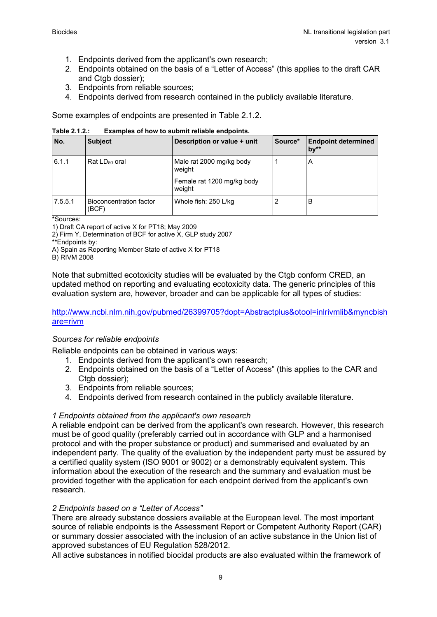- 1. Endpoints derived from the applicant's own research;
- 2. Endpoints obtained on the basis of a "Letter of Access" (this applies to the draft CAR and Ctgb dossier);
- 3. Endpoints from reliable sources;
- 4. Endpoints derived from research contained in the publicly available literature.

Some examples of endpoints are presented in Table 2.1.2.

**Table 2.1.2.: Examples of how to submit reliable endpoints.**

| No.     | <b>Subject</b>                   | Description or value + unit          | Source* | <b>Endpoint determined</b><br>$bv^{**}$ |
|---------|----------------------------------|--------------------------------------|---------|-----------------------------------------|
| 6.1.1   | Rat $LD_{50}$ oral               | Male rat 2000 mg/kg body<br>weight   |         | A                                       |
|         |                                  | Female rat 1200 mg/kg body<br>weight |         |                                         |
| 7.5.5.1 | Bioconcentration factor<br>(BCF) | Whole fish: 250 L/kg                 | 2       | в                                       |

\*Sources:

1) Draft CA report of active X for PT18; May 2009

2) Firm Y, Determination of BCF for active X, GLP study 2007

\*\*Endpoints by:

A) Spain as Reporting Member State of active X for PT18

B) RIVM 2008

Note that submitted ecotoxicity studies will be evaluated by the Ctgb conform CRED, an updated method on reporting and evaluating ecotoxicity data. The generic principles of this evaluation system are, however, broader and can be applicable for all types of studies:

#### [http://www.ncbi.nlm.nih.gov/pubmed/26399705?dopt=Abstractplus&otool=inlrivmlib&myncbish](http://www.ncbi.nlm.nih.gov/pubmed/26399705?dopt=Abstractplus&otool=inlrivmlib&myncbishare=rivm) [are=rivm](http://www.ncbi.nlm.nih.gov/pubmed/26399705?dopt=Abstractplus&otool=inlrivmlib&myncbishare=rivm)

#### *Sources for reliable endpoints*

Reliable endpoints can be obtained in various ways:

- 1. Endpoints derived from the applicant's own research;
- 2. Endpoints obtained on the basis of a "Letter of Access" (this applies to the CAR and Ctab dossier):
- 3. Endpoints from reliable sources;
- 4. Endpoints derived from research contained in the publicly available literature.

#### *1 Endpoints obtained from the applicant's own research*

A reliable endpoint can be derived from the applicant's own research. However, this research must be of good quality (preferably carried out in accordance with GLP and a harmonised protocol and with the proper substance or product) and summarised and evaluated by an independent party. The quality of the evaluation by the independent party must be assured by a certified quality system (ISO 9001 or 9002) or a demonstrably equivalent system. This information about the execution of the research and the summary and evaluation must be provided together with the application for each endpoint derived from the applicant's own research.

#### *2 Endpoints based on a "Letter of Access"*

There are already substance dossiers available at the European level. The most important source of reliable endpoints is the Assessment Report or Competent Authority Report (CAR) or summary dossier associated with the inclusion of an active substance in the Union list of approved substances of EU Regulation 528/2012.

All active substances in notified biocidal products are also evaluated within the framework of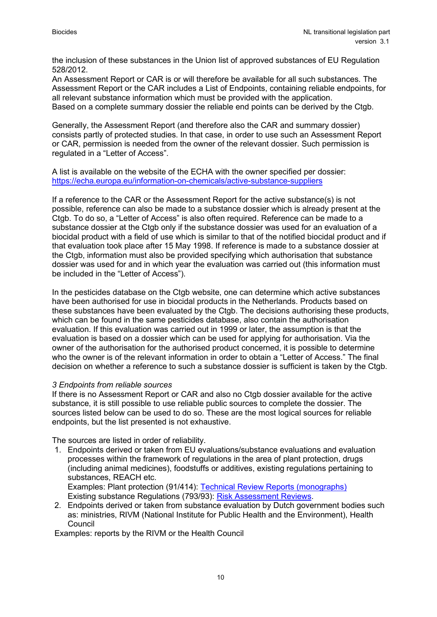the inclusion of these substances in the Union list of approved substances of EU Regulation 528/2012.

An Assessment Report or CAR is or will therefore be available for all such substances. The Assessment Report or the CAR includes a List of Endpoints, containing reliable endpoints, for all relevant substance information which must be provided with the application. Based on a complete summary dossier the reliable end points can be derived by the Ctgb.

Generally, the Assessment Report (and therefore also the CAR and summary dossier) consists partly of protected studies. In that case, in order to use such an Assessment Report or CAR, permission is needed from the owner of the relevant dossier. Such permission is regulated in a "Letter of Access".

A list is available on the website of the ECHA with the owner specified per dossier: <https://echa.europa.eu/information-on-chemicals/active-substance-suppliers>

If a reference to the CAR or the Assessment Report for the active substance(s) is not possible, reference can also be made to a substance dossier which is already present at the Ctgb. To do so, a "Letter of Access" is also often required. Reference can be made to a substance dossier at the Ctgb only if the substance dossier was used for an evaluation of a biocidal product with a field of use which is similar to that of the notified biocidal product and if that evaluation took place after 15 May 1998. If reference is made to a substance dossier at the Ctgb, information must also be provided specifying which authorisation that substance dossier was used for and in which year the evaluation was carried out (this information must be included in the "Letter of Access").

In the pesticides database on the Ctgb website, one can determine which active substances have been authorised for use in biocidal products in the Netherlands. Products based on these substances have been evaluated by the Ctgb. The decisions authorising these products, which can be found in the same pesticides database, also contain the authorisation evaluation. If this evaluation was carried out in 1999 or later, the assumption is that the evaluation is based on a dossier which can be used for applying for authorisation. Via the owner of the authorisation for the authorised product concerned, it is possible to determine who the owner is of the relevant information in order to obtain a "Letter of Access." The final decision on whether a reference to such a substance dossier is sufficient is taken by the Ctgb.

#### *3 Endpoints from reliable sources*

If there is no Assessment Report or CAR and also no Ctgb dossier available for the active substance, it is still possible to use reliable public sources to complete the dossier. The sources listed below can be used to do so. These are the most logical sources for reliable endpoints, but the list presented is not exhaustive.

The sources are listed in order of reliability.

1. Endpoints derived or taken from EU evaluations/substance evaluations and evaluation processes within the framework of regulations in the area of plant protection, drugs (including animal medicines), foodstuffs or additives, existing regulations pertaining to substances, REACH etc. Examples: Plant protection (91/414): [Technical Review Reports \(monographs\)](http://ec.europa.eu/food/plant/protection/evaluation/exist_subs_rep_en.htm)

Existing substance Regulations (793/93): [Risk Assessment Reviews.](https://eur-lex.europa.eu/legal-content/EN/TXT/?uri=CELEX%3A31993R0793)

2. Endpoints derived or taken from substance evaluation by Dutch government bodies such as: ministries, RIVM (National Institute for Public Health and the Environment), Health Council

Examples: reports by the RIVM or the Health Council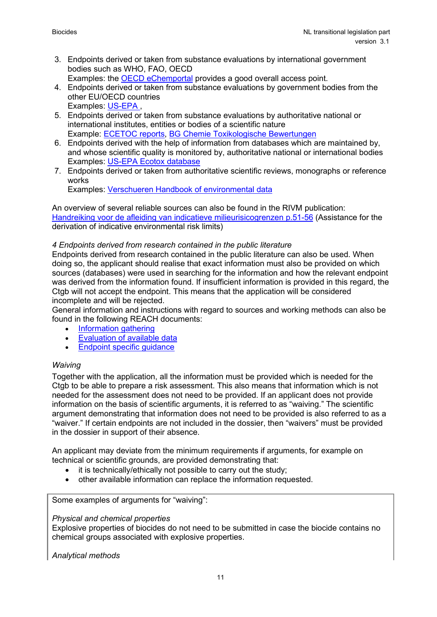- 3. Endpoints derived or taken from substance evaluations by international government bodies such as WHO, FAO, OECD
	- Examples: the **OECD** eChemportal provides a good overall access point.
- 4. Endpoints derived or taken from substance evaluations by government bodies from the other EU/OECD countries Examples: [US-EPA](https://iaspub.epa.gov/apex/pesticides/f?p=chemicalsearch:1) ,
- 5. Endpoints derived or taken from substance evaluations by authoritative national or international institutes, entities or bodies of a scientific nature Example: [ECETOC reports,](http://www.ecetoc.org/jacc-reports) [BG Chemie Toxikologische Bewertungen](https://www.bgrci.de/fachwissen-portal/themenspektrum/gefahrstoffe/toxikologische-bewertungen/)
- 6. Endpoints derived with the help of information from databases which are maintained by, and whose scientific quality is monitored by, authoritative national or international bodies Examples: [US-EPA Ecotox database](http://cfpub.epa.gov/ecotox/)
- 7. Endpoints derived or taken from authoritative scientific reviews, monographs or reference works

Examples: [Verschueren Handbook of](https://www.wiley.com/en-nl/Handbook+of+Environmental+Data+on+Organic+Chemicals,+4+Volume+Set,+5th+Edition-p-9780470171721) environmental data

An overview of several reliable sources can also be found in the RIVM publication: [Handreiking voor de afleiding van indicatieve milieurisicogrenzen p.51-56](https://www.rivm.nl/bibliotheek/rapporten/601503024.pdf) (Assistance for the derivation of indicative environmental risk limits)

#### *4 Endpoints derived from research contained in the public literature*

Endpoints derived from research contained in the public literature can also be used. When doing so, the applicant should realise that exact information must also be provided on which sources (databases) were used in searching for the information and how the relevant endpoint was derived from the information found. If insufficient information is provided in this regard, the Ctgb will not accept the endpoint. This means that the application will be considered incomplete and will be rejected.

General information and instructions with regard to sources and working methods can also be found in the following REACH documents:

- [Information gathering](http://guidance.echa.europa.eu/docs/guidance_document/information_requirements_r3_en.pdf?vers=20_08_08)
- [Evaluation of available data](http://guidance.echa.europa.eu/docs/guidance_document/information_requirements_r4_en.pdf?vers=20_08_08)
- [Endpoint specific guidance](http://guidance.echa.europa.eu/docs/guidance_document/information_requirements_r7a_en.pdf?vers=20_08_08)

#### *Waiving*

Together with the application, all the information must be provided which is needed for the Ctgb to be able to prepare a risk assessment. This also means that information which is not needed for the assessment does not need to be provided. If an applicant does not provide information on the basis of scientific arguments, it is referred to as "waiving." The scientific argument demonstrating that information does not need to be provided is also referred to as a "waiver." If certain endpoints are not included in the dossier, then "waivers" must be provided in the dossier in support of their absence.

An applicant may deviate from the minimum requirements if arguments, for example on technical or scientific grounds, are provided demonstrating that:

- it is technically/ethically not possible to carry out the study;
- other available information can replace the information requested.

Some examples of arguments for "waiving":

#### *Physical and chemical properties*

Explosive properties of biocides do not need to be submitted in case the biocide contains no chemical groups associated with explosive properties.

*Analytical methods*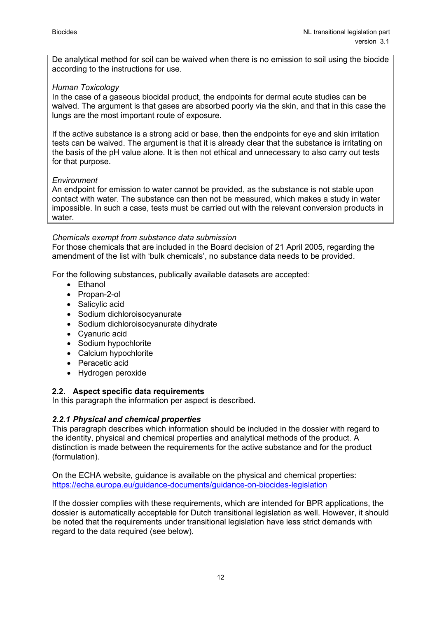De analytical method for soil can be waived when there is no emission to soil using the biocide according to the instructions for use.

#### *Human Toxicology*

In the case of a gaseous biocidal product, the endpoints for dermal acute studies can be waived. The argument is that gases are absorbed poorly via the skin, and that in this case the lungs are the most important route of exposure.

If the active substance is a strong acid or base, then the endpoints for eye and skin irritation tests can be waived. The argument is that it is already clear that the substance is irritating on the basis of the pH value alone. It is then not ethical and unnecessary to also carry out tests for that purpose.

#### *Environment*

An endpoint for emission to water cannot be provided, as the substance is not stable upon contact with water. The substance can then not be measured, which makes a study in water impossible. In such a case, tests must be carried out with the relevant conversion products in water.

#### *Chemicals exempt from substance data submission*

For those chemicals that are included in the Board decision of 21 April 2005, regarding the amendment of the list with 'bulk chemicals', no substance data needs to be provided.

For the following substances, publically available datasets are accepted:

- Ethanol
- Propan-2-ol
- Salicylic acid
- Sodium dichloroisocyanurate
- Sodium dichloroisocyanurate dihydrate
- Cyanuric acid
- Sodium hypochlorite
- Calcium hypochlorite
- Peracetic acid
- <span id="page-11-0"></span>• Hydrogen peroxide

#### **2.2. Aspect specific data requirements**

In this paragraph the information per aspect is described.

#### <span id="page-11-1"></span>*2.2.1 Physical and chemical properties*

This paragraph describes which information should be included in the dossier with regard to the identity, physical and chemical properties and analytical methods of the product. A distinction is made between the requirements for the active substance and for the product (formulation).

On the ECHA website, guidance is available on the physical and chemical properties: <https://echa.europa.eu/guidance-documents/guidance-on-biocides-legislation>

If the dossier complies with these requirements, which are intended for BPR applications, the dossier is automatically acceptable for Dutch transitional legislation as well. However, it should be noted that the requirements under transitional legislation have less strict demands with regard to the data required (see below).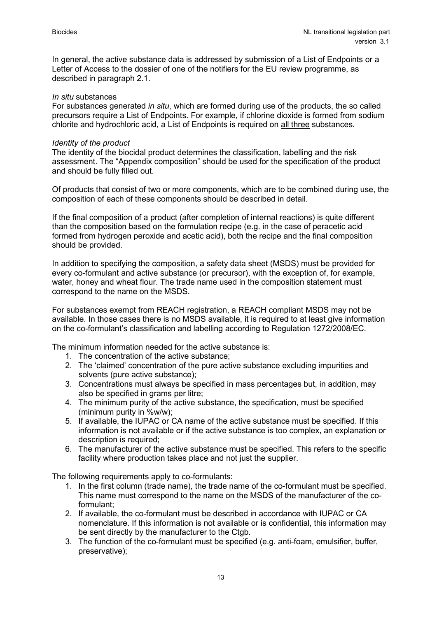In general, the active substance data is addressed by submission of a List of Endpoints or a Letter of Access to the dossier of one of the notifiers for the EU review programme, as described in paragraph 2.1.

#### *In situ* substances

For substances generated *in situ*, which are formed during use of the products, the so called precursors require a List of Endpoints. For example, if chlorine dioxide is formed from sodium chlorite and hydrochloric acid, a List of Endpoints is required on all three substances.

#### *Identity of the product*

The identity of the biocidal product determines the classification, labelling and the risk assessment. The "Appendix composition" should be used for the specification of the product and should be fully filled out.

Of products that consist of two or more components, which are to be combined during use, the composition of each of these components should be described in detail.

If the final composition of a product (after completion of internal reactions) is quite different than the composition based on the formulation recipe (e.g. in the case of peracetic acid formed from hydrogen peroxide and acetic acid), both the recipe and the final composition should be provided.

In addition to specifying the composition, a safety data sheet (MSDS) must be provided for every co-formulant and active substance (or precursor), with the exception of, for example, water, honey and wheat flour. The trade name used in the composition statement must correspond to the name on the MSDS.

For substances exempt from REACH registration, a REACH compliant MSDS may not be available. In those cases there is no MSDS available, it is required to at least give information on the co-formulant's classification and labelling according to Regulation 1272/2008/EC.

The minimum information needed for the active substance is:

- 1. The concentration of the active substance;
- 2. The 'claimed' concentration of the pure active substance excluding impurities and solvents (pure active substance);
- 3. Concentrations must always be specified in mass percentages but, in addition, may also be specified in grams per litre;
- 4. The minimum purity of the active substance, the specification, must be specified (minimum purity in %w/w);
- 5. If available, the IUPAC or CA name of the active substance must be specified. If this information is not available or if the active substance is too complex, an explanation or description is required:
- 6. The manufacturer of the active substance must be specified. This refers to the specific facility where production takes place and not just the supplier.

The following requirements apply to co-formulants:

- 1. In the first column (trade name), the trade name of the co-formulant must be specified. This name must correspond to the name on the MSDS of the manufacturer of the coformulant;
- 2. If available, the co-formulant must be described in accordance with IUPAC or CA nomenclature. If this information is not available or is confidential, this information may be sent directly by the manufacturer to the Ctgb.
- 3. The function of the co-formulant must be specified (e.g. anti-foam, emulsifier, buffer, preservative);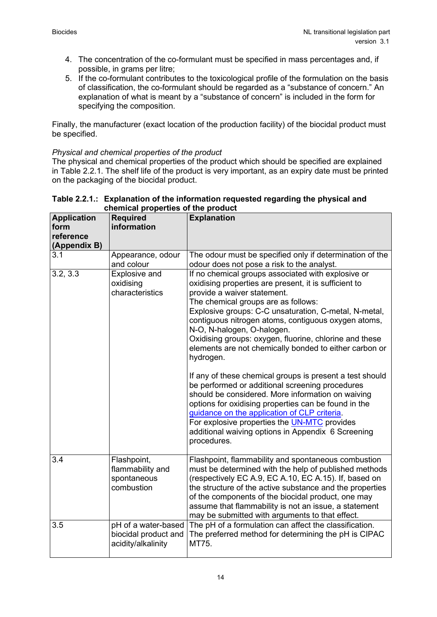- 4. The concentration of the co-formulant must be specified in mass percentages and, if possible, in grams per litre;
- 5. If the co-formulant contributes to the toxicological profile of the formulation on the basis of classification, the co-formulant should be regarded as a "substance of concern." An explanation of what is meant by a "substance of concern" is included in the form for specifying the composition.

Finally, the manufacturer (exact location of the production facility) of the biocidal product must be specified.

#### *Physical and chemical properties of the product*

The physical and chemical properties of the product which should be specified are explained in Table 2.2.1. The shelf life of the product is very important, as an expiry date must be printed on the packaging of the biocidal product.

| <b>Application</b><br>form<br>reference<br>(Appendix B) | <b>Required</b><br>information                                    | <b>Explanation</b>                                                                                                                                                                                                                                                                                                                                                                                                                                                                                                                                                                                                                                                                                                                                                                                                                                                       |
|---------------------------------------------------------|-------------------------------------------------------------------|--------------------------------------------------------------------------------------------------------------------------------------------------------------------------------------------------------------------------------------------------------------------------------------------------------------------------------------------------------------------------------------------------------------------------------------------------------------------------------------------------------------------------------------------------------------------------------------------------------------------------------------------------------------------------------------------------------------------------------------------------------------------------------------------------------------------------------------------------------------------------|
| 3.1                                                     | Appearance, odour<br>and colour                                   | The odour must be specified only if determination of the<br>odour does not pose a risk to the analyst.                                                                                                                                                                                                                                                                                                                                                                                                                                                                                                                                                                                                                                                                                                                                                                   |
| 3.2, 3.3                                                | <b>Explosive and</b><br>oxidising<br>characteristics              | If no chemical groups associated with explosive or<br>oxidising properties are present, it is sufficient to<br>provide a waiver statement.<br>The chemical groups are as follows:<br>Explosive groups: C-C unsaturation, C-metal, N-metal,<br>contiguous nitrogen atoms, contiguous oxygen atoms,<br>N-O, N-halogen, O-halogen.<br>Oxidising groups: oxygen, fluorine, chlorine and these<br>elements are not chemically bonded to either carbon or<br>hydrogen.<br>If any of these chemical groups is present a test should<br>be performed or additional screening procedures<br>should be considered. More information on waiving<br>options for oxidising properties can be found in the<br>guidance on the application of CLP criteria.<br>For explosive properties the <b>UN-MTC</b> provides<br>additional waiving options in Appendix 6 Screening<br>procedures. |
| 3.4                                                     | Flashpoint,<br>flammability and<br>spontaneous<br>combustion      | Flashpoint, flammability and spontaneous combustion<br>must be determined with the help of published methods<br>(respectively EC A.9, EC A.10, EC A.15). If, based on<br>the structure of the active substance and the properties<br>of the components of the biocidal product, one may<br>assume that flammability is not an issue, a statement<br>may be submitted with arguments to that effect.                                                                                                                                                                                                                                                                                                                                                                                                                                                                      |
| 3.5                                                     | pH of a water-based<br>biocidal product and<br>acidity/alkalinity | The pH of a formulation can affect the classification.<br>The preferred method for determining the pH is CIPAC<br>MT75.                                                                                                                                                                                                                                                                                                                                                                                                                                                                                                                                                                                                                                                                                                                                                  |

#### **Table 2.2.1.: Explanation of the information requested regarding the physical and chemical properties of the product**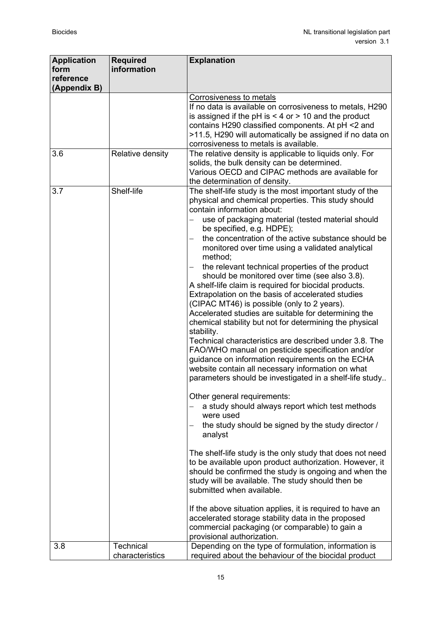| <b>Application</b><br>form | <b>Required</b><br>information | <b>Explanation</b>                                                                                                                                                                                                                                                                                                                                                                                                                                                                                                                                                                                                                                                                                                                                                                                                                                                                                                                                                                                                                                                                                                                                                                                                                                                                                                                                                                                                                                                                                                                                                                                                                                |
|----------------------------|--------------------------------|---------------------------------------------------------------------------------------------------------------------------------------------------------------------------------------------------------------------------------------------------------------------------------------------------------------------------------------------------------------------------------------------------------------------------------------------------------------------------------------------------------------------------------------------------------------------------------------------------------------------------------------------------------------------------------------------------------------------------------------------------------------------------------------------------------------------------------------------------------------------------------------------------------------------------------------------------------------------------------------------------------------------------------------------------------------------------------------------------------------------------------------------------------------------------------------------------------------------------------------------------------------------------------------------------------------------------------------------------------------------------------------------------------------------------------------------------------------------------------------------------------------------------------------------------------------------------------------------------------------------------------------------------|
| reference<br>(Appendix B)  |                                |                                                                                                                                                                                                                                                                                                                                                                                                                                                                                                                                                                                                                                                                                                                                                                                                                                                                                                                                                                                                                                                                                                                                                                                                                                                                                                                                                                                                                                                                                                                                                                                                                                                   |
|                            |                                | Corrosiveness to metals<br>If no data is available on corrosiveness to metals, H290<br>is assigned if the pH is $<$ 4 or $>$ 10 and the product<br>contains H290 classified components. At pH <2 and<br>>11.5, H290 will automatically be assigned if no data on<br>corrosiveness to metals is available.                                                                                                                                                                                                                                                                                                                                                                                                                                                                                                                                                                                                                                                                                                                                                                                                                                                                                                                                                                                                                                                                                                                                                                                                                                                                                                                                         |
| 3.6                        | Relative density               | The relative density is applicable to liquids only. For<br>solids, the bulk density can be determined.<br>Various OECD and CIPAC methods are available for<br>the determination of density.                                                                                                                                                                                                                                                                                                                                                                                                                                                                                                                                                                                                                                                                                                                                                                                                                                                                                                                                                                                                                                                                                                                                                                                                                                                                                                                                                                                                                                                       |
| 3.7                        | Shelf-life                     | The shelf-life study is the most important study of the<br>physical and chemical properties. This study should<br>contain information about:<br>use of packaging material (tested material should<br>be specified, e.g. HDPE);<br>the concentration of the active substance should be<br>monitored over time using a validated analytical<br>method;<br>the relevant technical properties of the product<br>should be monitored over time (see also 3.8).<br>A shelf-life claim is required for biocidal products.<br>Extrapolation on the basis of accelerated studies<br>(CIPAC MT46) is possible (only to 2 years).<br>Accelerated studies are suitable for determining the<br>chemical stability but not for determining the physical<br>stability.<br>Technical characteristics are described under 3.8. The<br>FAO/WHO manual on pesticide specification and/or<br>guidance on information requirements on the ECHA<br>website contain all necessary information on what<br>parameters should be investigated in a shelf-life study<br>Other general requirements:<br>a study should always report which test methods<br>were used<br>the study should be signed by the study director /<br>analyst<br>The shelf-life study is the only study that does not need<br>to be available upon product authorization. However, it<br>should be confirmed the study is ongoing and when the<br>study will be available. The study should then be<br>submitted when available.<br>If the above situation applies, it is required to have an<br>accelerated storage stability data in the proposed<br>commercial packaging (or comparable) to gain a |
| 3.8                        | <b>Technical</b>               | provisional authorization.<br>Depending on the type of formulation, information is                                                                                                                                                                                                                                                                                                                                                                                                                                                                                                                                                                                                                                                                                                                                                                                                                                                                                                                                                                                                                                                                                                                                                                                                                                                                                                                                                                                                                                                                                                                                                                |
|                            | characteristics                | required about the behaviour of the biocidal product                                                                                                                                                                                                                                                                                                                                                                                                                                                                                                                                                                                                                                                                                                                                                                                                                                                                                                                                                                                                                                                                                                                                                                                                                                                                                                                                                                                                                                                                                                                                                                                              |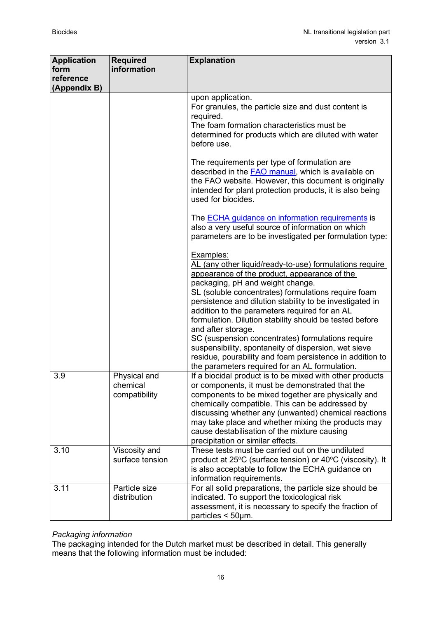| <b>Application</b><br>form<br>reference | <b>Required</b><br>information            | <b>Explanation</b>                                                                                                                                                                                                                                                                                                                                                                                                                                                                                                                                                                                                                       |
|-----------------------------------------|-------------------------------------------|------------------------------------------------------------------------------------------------------------------------------------------------------------------------------------------------------------------------------------------------------------------------------------------------------------------------------------------------------------------------------------------------------------------------------------------------------------------------------------------------------------------------------------------------------------------------------------------------------------------------------------------|
| (Appendix B)                            |                                           |                                                                                                                                                                                                                                                                                                                                                                                                                                                                                                                                                                                                                                          |
|                                         |                                           | upon application.<br>For granules, the particle size and dust content is<br>required.<br>The foam formation characteristics must be<br>determined for products which are diluted with water<br>before use.                                                                                                                                                                                                                                                                                                                                                                                                                               |
|                                         |                                           | The requirements per type of formulation are<br>described in the <b>FAO</b> manual, which is available on<br>the FAO website. However, this document is originally<br>intended for plant protection products, it is also being<br>used for biocides.                                                                                                                                                                                                                                                                                                                                                                                     |
|                                         |                                           | The <b>ECHA</b> guidance on information requirements is<br>also a very useful source of information on which<br>parameters are to be investigated per formulation type:                                                                                                                                                                                                                                                                                                                                                                                                                                                                  |
|                                         |                                           | Examples:<br>AL (any other liquid/ready-to-use) formulations require<br>appearance of the product, appearance of the<br>packaging, pH and weight change.<br>SL (soluble concentrates) formulations require foam<br>persistence and dilution stability to be investigated in<br>addition to the parameters required for an AL<br>formulation. Dilution stability should be tested before<br>and after storage.<br>SC (suspension concentrates) formulations require<br>suspensibility, spontaneity of dispersion, wet sieve<br>residue, pourability and foam persistence in addition to<br>the parameters required for an AL formulation. |
| 3.9                                     | Physical and<br>chemical<br>compatibility | If a biocidal product is to be mixed with other products<br>or components, it must be demonstrated that the<br>components to be mixed together are physically and<br>chemically compatible. This can be addressed by<br>discussing whether any (unwanted) chemical reactions<br>may take place and whether mixing the products may<br>cause destabilisation of the mixture causing<br>precipitation or similar effects.                                                                                                                                                                                                                  |
| 3.10                                    | Viscosity and<br>surface tension          | These tests must be carried out on the undiluted<br>product at 25°C (surface tension) or 40°C (viscosity). It<br>is also acceptable to follow the ECHA guidance on<br>information requirements.                                                                                                                                                                                                                                                                                                                                                                                                                                          |
| 3.11                                    | Particle size<br>distribution             | For all solid preparations, the particle size should be<br>indicated. To support the toxicological risk<br>assessment, it is necessary to specify the fraction of<br>particles $<$ 50 $\mu$ m.                                                                                                                                                                                                                                                                                                                                                                                                                                           |

# *Packaging information*

The packaging intended for the Dutch market must be described in detail. This generally means that the following information must be included: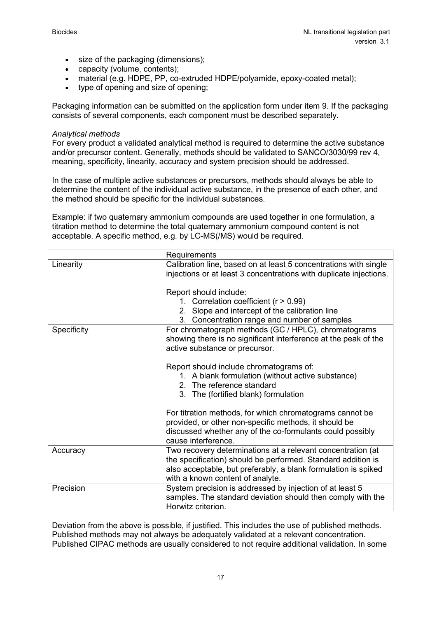- size of the packaging (dimensions);
- capacity (volume, contents);
- material (e.g. HDPE, PP, co-extruded HDPE/polyamide, epoxy-coated metal);
- type of opening and size of opening;

Packaging information can be submitted on the application form under item 9. If the packaging consists of several components, each component must be described separately.

#### *Analytical methods*

For every product a validated analytical method is required to determine the active substance and/or precursor content. Generally, methods should be validated to SANCO/3030/99 rev 4, meaning, specificity, linearity, accuracy and system precision should be addressed.

In the case of multiple active substances or precursors, methods should always be able to determine the content of the individual active substance, in the presence of each other, and the method should be specific for the individual substances.

Example: if two quaternary ammonium compounds are used together in one formulation, a titration method to determine the total quaternary ammonium compound content is not acceptable. A specific method, e.g. by LC-MS(/MS) would be required.

|             | Requirements                                                                                                                                                                                                                      |
|-------------|-----------------------------------------------------------------------------------------------------------------------------------------------------------------------------------------------------------------------------------|
| Linearity   | Calibration line, based on at least 5 concentrations with single<br>injections or at least 3 concentrations with duplicate injections.                                                                                            |
|             | Report should include:<br>1. Correlation coefficient ( $r > 0.99$ )<br>2. Slope and intercept of the calibration line<br>3. Concentration range and number of samples                                                             |
| Specificity | For chromatograph methods (GC / HPLC), chromatograms<br>showing there is no significant interference at the peak of the<br>active substance or precursor.                                                                         |
|             | Report should include chromatograms of:<br>1. A blank formulation (without active substance)<br>2. The reference standard<br>3. The (fortified blank) formulation                                                                 |
|             | For titration methods, for which chromatograms cannot be<br>provided, or other non-specific methods, it should be<br>discussed whether any of the co-formulants could possibly<br>cause interference.                             |
| Accuracy    | Two recovery determinations at a relevant concentration (at<br>the specification) should be performed. Standard addition is<br>also acceptable, but preferably, a blank formulation is spiked<br>with a known content of analyte. |
| Precision   | System precision is addressed by injection of at least 5<br>samples. The standard deviation should then comply with the<br>Horwitz criterion.                                                                                     |

Deviation from the above is possible, if justified. This includes the use of published methods. Published methods may not always be adequately validated at a relevant concentration. Published CIPAC methods are usually considered to not require additional validation. In some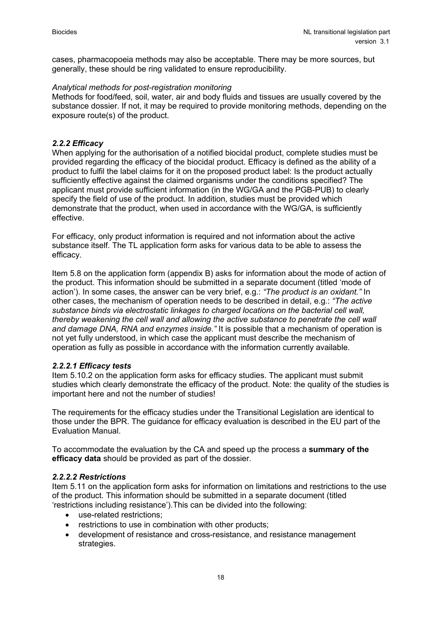cases, pharmacopoeia methods may also be acceptable. There may be more sources, but generally, these should be ring validated to ensure reproducibility.

#### *Analytical methods for post-registration monitoring*

Methods for food/feed, soil, water, air and body fluids and tissues are usually covered by the substance dossier. If not, it may be required to provide monitoring methods, depending on the exposure route(s) of the product.

#### <span id="page-17-0"></span>*2.2.2 Efficacy*

When applying for the authorisation of a notified biocidal product, complete studies must be provided regarding the efficacy of the biocidal product. Efficacy is defined as the ability of a product to fulfil the label claims for it on the proposed product label: Is the product actually sufficiently effective against the claimed organisms under the conditions specified? The applicant must provide sufficient information (in the WG/GA and the PGB-PUB) to clearly specify the field of use of the product. In addition, studies must be provided which demonstrate that the product, when used in accordance with the WG/GA, is sufficiently effective.

For efficacy, only product information is required and not information about the active substance itself. The TL application form asks for various data to be able to assess the efficacy.

Item 5.8 on the application form (appendix B) asks for information about the mode of action of the product. This information should be submitted in a separate document (titled 'mode of action'). In some cases, the answer can be very brief, e.g.: *"The product is an oxidant."* In other cases, the mechanism of operation needs to be described in detail, e.g.: *"The active substance binds via electrostatic linkages to charged locations on the bacterial cell wall, thereby weakening the cell wall and allowing the active substance to penetrate the cell wall and damage DNA, RNA and enzymes inside."* It is possible that a mechanism of operation is not yet fully understood, in which case the applicant must describe the mechanism of operation as fully as possible in accordance with the information currently available.

#### *2.2.2.1 Efficacy tests*

Item 5.10.2 on the application form asks for efficacy studies. The applicant must submit studies which clearly demonstrate the efficacy of the product. Note: the quality of the studies is important here and not the number of studies!

The requirements for the efficacy studies under the Transitional Legislation are identical to those under the BPR. The guidance for efficacy evaluation is described in the EU part of the Evaluation Manual.

To accommodate the evaluation by the CA and speed up the process a **summary of the efficacy data** should be provided as part of the dossier.

#### *2.2.2.2 Restrictions*

Item 5.11 on the application form asks for information on limitations and restrictions to the use of the product. This information should be submitted in a separate document (titled 'restrictions including resistance').This can be divided into the following:

- use-related restrictions;
- restrictions to use in combination with other products;
- development of resistance and cross-resistance, and resistance management strategies.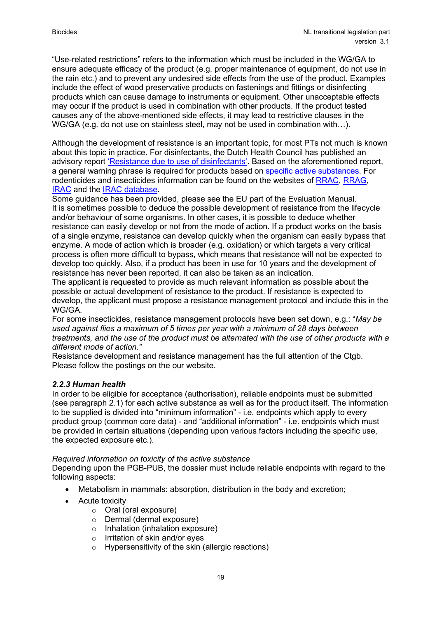"Use-related restrictions" refers to the information which must be included in the WG/GA to ensure adequate efficacy of the product (e.g. proper maintenance of equipment, do not use in the rain etc.) and to prevent any undesired side effects from the use of the product. Examples include the effect of wood preservative products on fastenings and fittings or disinfecting products which can cause damage to instruments or equipment. Other unacceptable effects may occur if the product is used in combination with other products. If the product tested causes any of the above-mentioned side effects, it may lead to restrictive clauses in the WG/GA (e.g. do not use on stainless steel, may not be used in combination with…).

Although the development of resistance is an important topic, for most PTs not much is known about this topic in practice. For disinfectants, the Dutch Health Council has published an advisory report ['Resistance due to use of disinfectants'.](https://www.gezondheidsraad.nl/en/task-and-procedure/areas-of-activity/gezonde-leefomgeving/careful-use-of-disinfectants) Based on the aforementioned report, a general warning phrase is required for products based on [specific active substances.](https://www.ctgb.nl/actueel/nieuws/2018/01/30/nieuwe-waarschuwingszin-tegen-resistentie) For rodenticides and insecticides information can be found on the websites of [RRAC,](http://www.rrac.info/) [RRAG,](https://bpca.org.uk/about/partners/rrag) [IRAC](http://www.irac-online.org/) and the [IRAC database.](https://www.pesticideresistance.org/)

Some guidance has been provided, please see the EU part of the Evaluation Manual. It is sometimes possible to deduce the possible development of resistance from the lifecycle and/or behaviour of some organisms. In other cases, it is possible to deduce whether resistance can easily develop or not from the mode of action. If a product works on the basis of a single enzyme, resistance can develop quickly when the organism can easily bypass that enzyme. A mode of action which is broader (e.g. oxidation) or which targets a very critical process is often more difficult to bypass, which means that resistance will not be expected to develop too quickly. Also, if a product has been in use for 10 years and the development of resistance has never been reported, it can also be taken as an indication.

The applicant is requested to provide as much relevant information as possible about the possible or actual development of resistance to the product. If resistance is expected to develop, the applicant must propose a resistance management protocol and include this in the WG/GA.

For some insecticides, resistance management protocols have been set down, e.g.: "*May be used against flies a maximum of 5 times per year with a minimum of 28 days between treatments, and the use of the product must be alternated with the use of other products with a different mode of action."*

Resistance development and resistance management has the full attention of the Ctgb. Please follow the postings on the our website.

#### <span id="page-18-0"></span>*2.2.3 Human health*

In order to be eligible for acceptance (authorisation), reliable endpoints must be submitted (see paragraph 2.1) for each active substance as well as for the product itself. The information to be supplied is divided into "minimum information" - i.e. endpoints which apply to every product group (common core data) - and "additional information" - i.e. endpoints which must be provided in certain situations (depending upon various factors including the specific use, the expected exposure etc.).

#### *Required information on toxicity of the active substance*

Depending upon the PGB-PUB, the dossier must include reliable endpoints with regard to the following aspects:

- Metabolism in mammals: absorption, distribution in the body and excretion;
- Acute toxicity
	- o Oral (oral exposure)
	- o Dermal (dermal exposure)
	- o Inhalation (inhalation exposure)
	- o Irritation of skin and/or eyes
	- o Hypersensitivity of the skin (allergic reactions)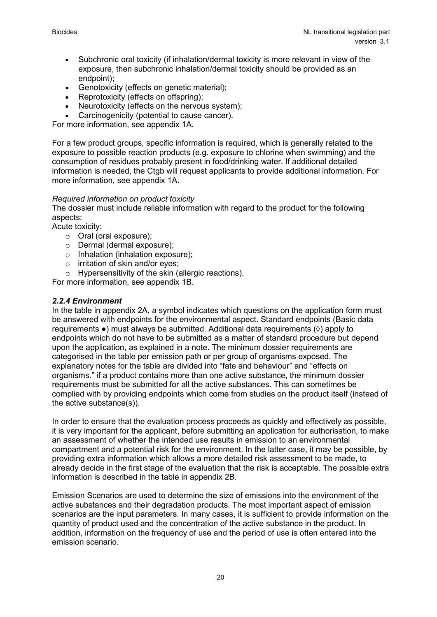- Subchronic oral toxicity (if inhalation/dermal toxicity is more relevant in view of the exposure, then subchronic inhalation/dermal toxicity should be provided as an endpoint);
- Genotoxicity (effects on genetic material);
- Reprotoxicity (effects on offspring);
- Neurotoxicity (effects on the nervous system);
- Carcinogenicity (potential to cause cancer).

For more information, see appendix 1A.

For a few product groups, specific information is required, which is generally related to the exposure to possible reaction products (e.g. exposure to chlorine when swimming) and the consumption of residues probably present in food/drinking water. If additional detailed information is needed, the Ctgb will request applicants to provide additional information. For more information, see appendix 1A.

#### *Required information on product toxicity*

The dossier must include reliable information with regard to the product for the following aspects:

Acute toxicity:

- o Oral (oral exposure);
- o Dermal (dermal exposure);
- o Inhalation (inhalation exposure);
- o irritation of skin and/or eyes;
- o Hypersensitivity of the skin (allergic reactions).

For more information, see appendix 1B.

#### <span id="page-19-0"></span>*2.2.4 Environment*

In the table in appendix 2A, a symbol indicates which questions on the application form must be answered with endpoints for the environmental aspect. Standard endpoints (Basic data requirements ●) must always be submitted. Additional data requirements (◊) apply to endpoints which do not have to be submitted as a matter of standard procedure but depend upon the application, as explained in a note. The minimum dossier requirements are categorised in the table per emission path or per group of organisms exposed. The explanatory notes for the table are divided into "fate and behaviour" and "effects on organisms." if a product contains more than one active substance, the minimum dossier requirements must be submitted for all the active substances. This can sometimes be complied with by providing endpoints which come from studies on the product itself (instead of the active substance(s)).

In order to ensure that the evaluation process proceeds as quickly and effectively as possible, it is very important for the applicant, before submitting an application for authorisation, to make an assessment of whether the intended use results in emission to an environmental compartment and a potential risk for the environment. In the latter case, it may be possible, by providing extra information which allows a more detailed risk assessment to be made, to already decide in the first stage of the evaluation that the risk is acceptable. The possible extra information is described in the table in appendix 2B.

Emission Scenarios are used to determine the size of emissions into the environment of the active substances and their degradation products. The most important aspect of emission scenarios are the input parameters. In many cases, it is sufficient to provide information on the quantity of product used and the concentration of the active substance in the product. In addition, information on the frequency of use and the period of use is often entered into the emission scenario.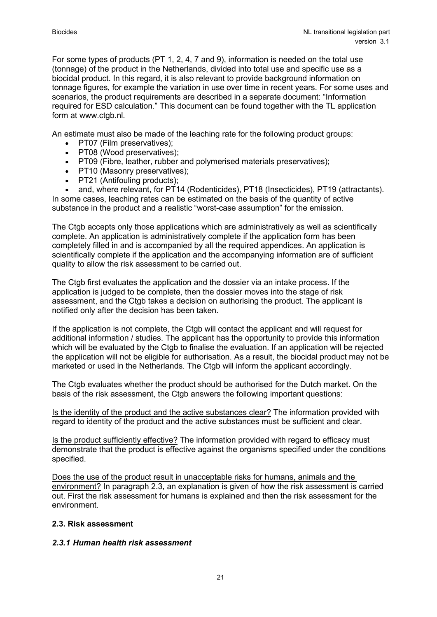For some types of products (PT 1, 2, 4, 7 and 9), information is needed on the total use (tonnage) of the product in the Netherlands, divided into total use and specific use as a biocidal product. In this regard, it is also relevant to provide background information on tonnage figures, for example the variation in use over time in recent years. For some uses and scenarios, the product requirements are described in a separate document: "Information required for ESD calculation." This document can be found together with the TL application form at www.ctgb.nl.

An estimate must also be made of the leaching rate for the following product groups:

- PT07 (Film preservatives);
- PT08 (Wood preservatives);
- PT09 (Fibre, leather, rubber and polymerised materials preservatives);
- PT10 (Masonry preservatives);
- PT21 (Antifouling products);

• and, where relevant, for PT14 (Rodenticides), PT18 (Insecticides), PT19 (attractants). In some cases, leaching rates can be estimated on the basis of the quantity of active substance in the product and a realistic "worst-case assumption" for the emission.

The Ctgb accepts only those applications which are administratively as well as scientifically complete. An application is administratively complete if the application form has been completely filled in and is accompanied by all the required appendices. An application is scientifically complete if the application and the accompanying information are of sufficient quality to allow the risk assessment to be carried out.

The Ctgb first evaluates the application and the dossier via an intake process. If the application is judged to be complete, then the dossier moves into the stage of risk assessment, and the Ctgb takes a decision on authorising the product. The applicant is notified only after the decision has been taken.

If the application is not complete, the Ctgb will contact the applicant and will request for additional information / studies. The applicant has the opportunity to provide this information which will be evaluated by the Ctgb to finalise the evaluation. If an application will be rejected the application will not be eligible for authorisation. As a result, the biocidal product may not be marketed or used in the Netherlands. The Ctgb will inform the applicant accordingly.

The Ctgb evaluates whether the product should be authorised for the Dutch market. On the basis of the risk assessment, the Ctgb answers the following important questions:

Is the identity of the product and the active substances clear? The information provided with regard to identity of the product and the active substances must be sufficient and clear.

Is the product sufficiently effective? The information provided with regard to efficacy must demonstrate that the product is effective against the organisms specified under the conditions specified.

Does the use of the product result in unacceptable risks for humans, animals and the environment? In paragraph 2.3, an explanation is given of how the risk assessment is carried out. First the risk assessment for humans is explained and then the risk assessment for the environment.

#### <span id="page-20-0"></span>**2.3. Risk assessment**

#### <span id="page-20-1"></span>*2.3.1 Human health risk assessment*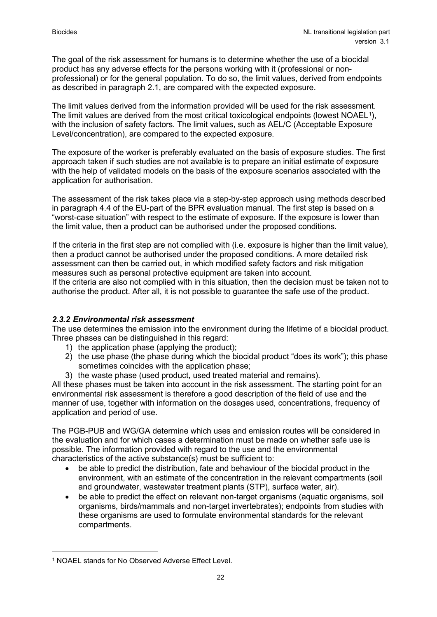The goal of the risk assessment for humans is to determine whether the use of a biocidal product has any adverse effects for the persons working with it (professional or nonprofessional) or for the general population. To do so, the limit values, derived from endpoints as described in paragraph 2.1, are compared with the expected exposure.

The limit values derived from the information provided will be used for the risk assessment. The limit values are derived from the most critical toxicological endpoints (lowest NOAEL<sup>[1](#page-21-1)</sup>), with the inclusion of safety factors. The limit values, such as AEL/C (Acceptable Exposure Level/concentration), are compared to the expected exposure.

The exposure of the worker is preferably evaluated on the basis of exposure studies. The first approach taken if such studies are not available is to prepare an initial estimate of exposure with the help of validated models on the basis of the exposure scenarios associated with the application for authorisation.

The assessment of the risk takes place via a step-by-step approach using methods described in paragraph 4.4 of the EU-part of the BPR evaluation manual. The first step is based on a "worst-case situation" with respect to the estimate of exposure. If the exposure is lower than the limit value, then a product can be authorised under the proposed conditions.

If the criteria in the first step are not complied with (i.e. exposure is higher than the limit value), then a product cannot be authorised under the proposed conditions. A more detailed risk assessment can then be carried out, in which modified safety factors and risk mitigation measures such as personal protective equipment are taken into account.

If the criteria are also not complied with in this situation, then the decision must be taken not to authorise the product. After all, it is not possible to guarantee the safe use of the product.

# <span id="page-21-0"></span>*2.3.2 Environmental risk assessment*

The use determines the emission into the environment during the lifetime of a biocidal product. Three phases can be distinguished in this regard:

- 1) the application phase (applying the product);
- 2) the use phase (the phase during which the biocidal product "does its work"); this phase sometimes coincides with the application phase;
- 3) the waste phase (used product, used treated material and remains).

All these phases must be taken into account in the risk assessment. The starting point for an environmental risk assessment is therefore a good description of the field of use and the manner of use, together with information on the dosages used, concentrations, frequency of application and period of use.

The PGB-PUB and WG/GA determine which uses and emission routes will be considered in the evaluation and for which cases a determination must be made on whether safe use is possible. The information provided with regard to the use and the environmental characteristics of the active substance(s) must be sufficient to:

- be able to predict the distribution, fate and behaviour of the biocidal product in the environment, with an estimate of the concentration in the relevant compartments (soil and groundwater, wastewater treatment plants (STP), surface water, air).
- be able to predict the effect on relevant non-target organisms (aquatic organisms, soil organisms, birds/mammals and non-target invertebrates); endpoints from studies with these organisms are used to formulate environmental standards for the relevant compartments.

<span id="page-21-1"></span><sup>1</sup> NOAEL stands for No Observed Adverse Effect Level.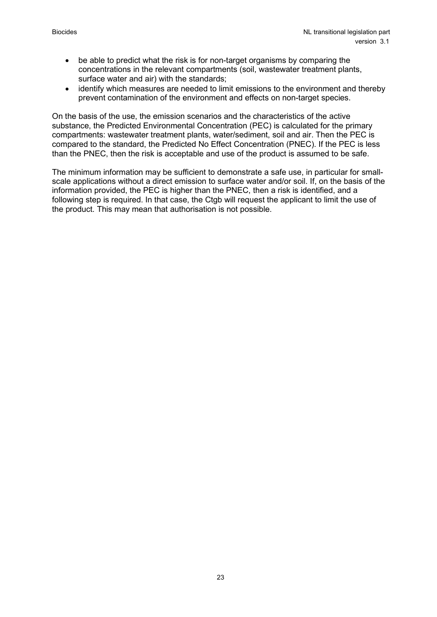- be able to predict what the risk is for non-target organisms by comparing the concentrations in the relevant compartments (soil, wastewater treatment plants, surface water and air) with the standards;
- identify which measures are needed to limit emissions to the environment and thereby prevent contamination of the environment and effects on non-target species.

On the basis of the use, the emission scenarios and the characteristics of the active substance, the Predicted Environmental Concentration (PEC) is calculated for the primary compartments: wastewater treatment plants, water/sediment, soil and air. Then the PEC is compared to the standard, the Predicted No Effect Concentration (PNEC). If the PEC is less than the PNEC, then the risk is acceptable and use of the product is assumed to be safe.

The minimum information may be sufficient to demonstrate a safe use, in particular for smallscale applications without a direct emission to surface water and/or soil. If, on the basis of the information provided, the PEC is higher than the PNEC, then a risk is identified, and a following step is required. In that case, the Ctgb will request the applicant to limit the use of the product. This may mean that authorisation is not possible.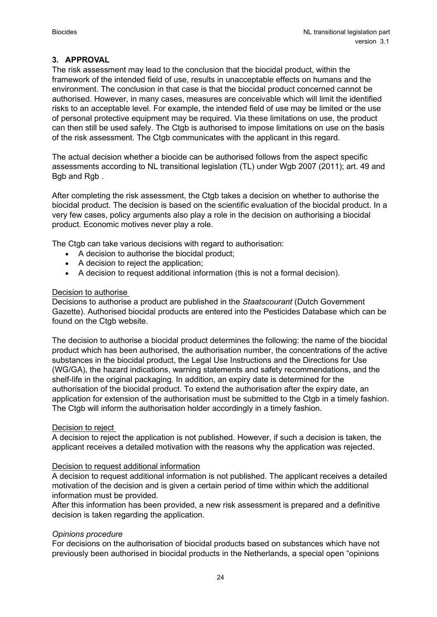# <span id="page-23-0"></span>**3. APPROVAL**

The risk assessment may lead to the conclusion that the biocidal product, within the framework of the intended field of use, results in unacceptable effects on humans and the environment. The conclusion in that case is that the biocidal product concerned cannot be authorised. However, in many cases, measures are conceivable which will limit the identified risks to an acceptable level. For example, the intended field of use may be limited or the use of personal protective equipment may be required. Via these limitations on use, the product can then still be used safely. The Ctgb is authorised to impose limitations on use on the basis of the risk assessment. The Ctgb communicates with the applicant in this regard.

The actual decision whether a biocide can be authorised follows from the aspect specific assessments according to NL transitional legislation (TL) under Wgb 2007 (2011); art. 49 and Bgb and Rgb .

After completing the risk assessment, the Ctgb takes a decision on whether to authorise the biocidal product. The decision is based on the scientific evaluation of the biocidal product. In a very few cases, policy arguments also play a role in the decision on authorising a biocidal product. Economic motives never play a role.

The Ctgb can take various decisions with regard to authorisation:

- A decision to authorise the biocidal product;
- A decision to reject the application;
- A decision to request additional information (this is not a formal decision).

#### Decision to authorise

Decisions to authorise a product are published in the *Staatscourant* (Dutch Government Gazette). Authorised biocidal products are entered into the Pesticides Database which can be found on the Ctgb website.

The decision to authorise a biocidal product determines the following: the name of the biocidal product which has been authorised, the authorisation number, the concentrations of the active substances in the biocidal product, the Legal Use Instructions and the Directions for Use (WG/GA), the hazard indications, warning statements and safety recommendations, and the shelf-life in the original packaging. In addition, an expiry date is determined for the authorisation of the biocidal product. To extend the authorisation after the expiry date, an application for extension of the authorisation must be submitted to the Ctgb in a timely fashion. The Ctgb will inform the authorisation holder accordingly in a timely fashion.

#### Decision to reject

A decision to reject the application is not published. However, if such a decision is taken, the applicant receives a detailed motivation with the reasons why the application was rejected.

#### Decision to request additional information

A decision to request additional information is not published. The applicant receives a detailed motivation of the decision and is given a certain period of time within which the additional information must be provided.

After this information has been provided, a new risk assessment is prepared and a definitive decision is taken regarding the application.

#### *Opinions procedure*

For decisions on the authorisation of biocidal products based on substances which have not previously been authorised in biocidal products in the Netherlands, a special open "opinions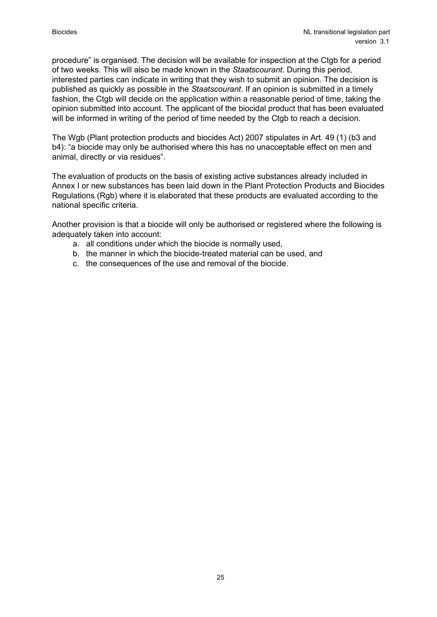procedure" is organised. The decision will be available for inspection at the Ctgb for a period of two weeks. This will also be made known in the *Staatscourant*. During this period, interested parties can indicate in writing that they wish to submit an opinion. The decision is published as quickly as possible in the *Staatscourant*. If an opinion is submitted in a timely fashion, the Ctgb will decide on the application within a reasonable period of time, taking the opinion submitted into account. The applicant of the biocidal product that has been evaluated will be informed in writing of the period of time needed by the Ctgb to reach a decision.

The Wgb (Plant protection products and biocides Act) 2007 stipulates in Art. 49 (1) (b3 and b4): "a biocide may only be authorised where this has no unacceptable effect on men and animal, directly or via residues".

The evaluation of products on the basis of existing active substances already included in Annex I or new substances has been laid down in the Plant Protection Products and Biocides Regulations (Rgb) where it is elaborated that these products are evaluated according to the national specific criteria.

Another provision is that a biocide will only be authorised or registered where the following is adequately taken into account:

- a. all conditions under which the biocide is normally used,
- b. the manner in which the biocide-treated material can be used, and
- c. the consequences of the use and removal of the biocide.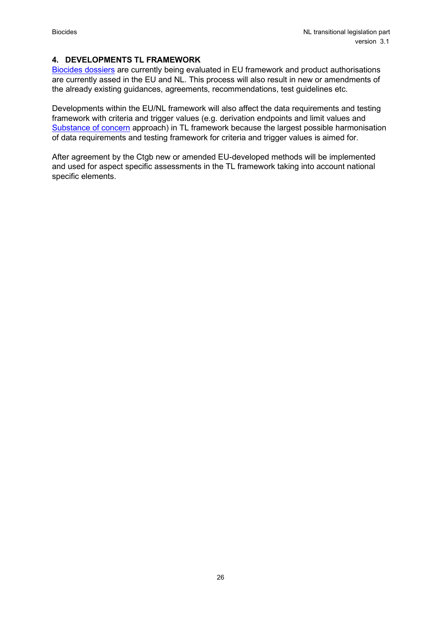### <span id="page-25-0"></span>**4. DEVELOPMENTS TL FRAMEWORK**

[Biocides dossiers](https://echa.europa.eu/regulations/biocidal-products-regulation/approval-of-active-substances/bpc-opinions-on-active-substance-approval) are currently being evaluated in EU framework and product authorisations are currently assed in the EU and NL. This process will also result in new or amendments of the already existing guidances, agreements, recommendations, test guidelines etc.

Developments within the EU/NL framework will also affect the data requirements and testing framework with criteria and trigger values (e.g. derivation endpoints and limit values and [Substance of concern](https://english.ctgb.nl/biocidal-products/application-active-substance/substances-of-concern) approach) in TL framework because the largest possible harmonisation of data requirements and testing framework for criteria and trigger values is aimed for.

After agreement by the Ctgb new or amended EU-developed methods will be implemented and used for aspect specific assessments in the TL framework taking into account national specific elements.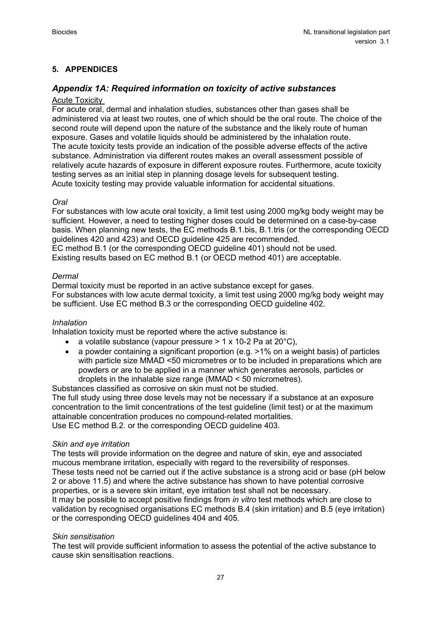# <span id="page-26-0"></span>**5. APPENDICES**

# *Appendix 1A: Required information on toxicity of active substances*

### Acute Toxicity

For acute oral, dermal and inhalation studies, substances other than gases shall be administered via at least two routes, one of which should be the oral route. The choice of the second route will depend upon the nature of the substance and the likely route of human exposure. Gases and volatile liquids should be administered by the inhalation route. The acute toxicity tests provide an indication of the possible adverse effects of the active substance. Administration via different routes makes an overall assessment possible of relatively acute hazards of exposure in different exposure routes. Furthermore, acute toxicity testing serves as an initial step in planning dosage levels for subsequent testing. Acute toxicity testing may provide valuable information for accidental situations.

#### *Oral*

For substances with low acute oral toxicity, a limit test using 2000 mg/kg body weight may be sufficient. However, a need to testing higher doses could be determined on a case-by-case basis. When planning new tests, the EC methods B.1.bis, B.1.tris (or the corresponding OECD guidelines 420 and 423) and OECD guideline 425 are recommended. EC method B.1 (or the corresponding OECD guideline 401) should not be used.

Existing results based on EC method B.1 (or OECD method 401) are acceptable.

#### *Dermal*

Dermal toxicity must be reported in an active substance except for gases. For substances with low acute dermal toxicity, a limit test using 2000 mg/kg body weight may be sufficient. Use EC method B.3 or the corresponding OECD guideline 402.

#### *Inhalation*

Inhalation toxicity must be reported where the active substance is:

- a volatile substance (vapour pressure  $> 1 \times 10-2$  Pa at 20 $^{\circ}$ C),
- a powder containing a significant proportion (e.g. >1% on a weight basis) of particles with particle size MMAD <50 micrometres or to be included in preparations which are powders or are to be applied in a manner which generates aerosols, particles or droplets in the inhalable size range (MMAD < 50 micrometres).

Substances classified as corrosive on skin must not be studied. The full study using three dose levels may not be necessary if a substance at an exposure concentration to the limit concentrations of the test guideline (limit test) or at the maximum attainable concentration produces no compound-related mortalities. Use EC method B.2. or the corresponding OECD guideline 403.

#### *Skin and eye irritation*

The tests will provide information on the degree and nature of skin, eye and associated mucous membrane irritation, especially with regard to the reversibility of responses. These tests need not be carried out if the active substance is a strong acid or base (pH below 2 or above 11.5) and where the active substance has shown to have potential corrosive properties, or is a severe skin irritant, eye irritation test shall not be necessary. It may be possible to accept positive findings from *in vitro* test methods which are close to validation by recognised organisations EC methods B.4 (skin irritation) and B.5 (eye irritation) or the corresponding OECD guidelines 404 and 405.

#### *Skin sensitisation*

The test will provide sufficient information to assess the potential of the active substance to cause skin sensitisation reactions.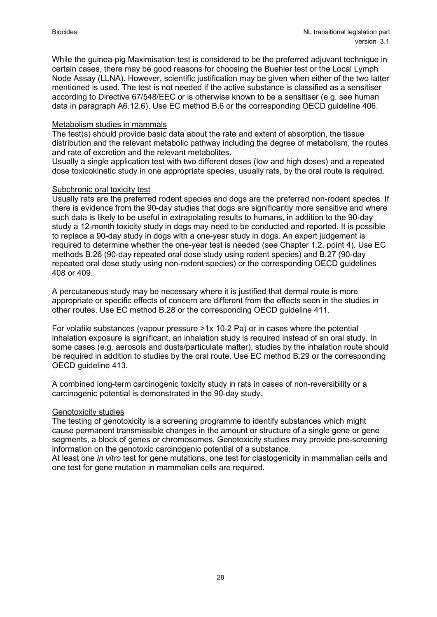While the guinea-pig Maximisation test is considered to be the preferred adjuvant technique in certain cases, there may be good reasons for choosing the Buehler test or the Local Lymph Node Assay (LLNA). However, scientific justification may be given when either of the two latter mentioned is used. The test is not needed if the active substance is classified as a sensitiser according to Directive 67/548/EEC or is otherwise known to be a sensitiser (e.g. see human data in paragraph A6.12.6). Use EC method B.6 or the corresponding OECD guideline 406.

#### Metabolism studies in mammals

The test(s) should provide basic data about the rate and extent of absorption, the tissue distribution and the relevant metabolic pathway including the degree of metabolism, the routes and rate of excretion and the relevant metabolites.

Usually a single application test with two different doses (low and high doses) and a repeated dose toxicokinetic study in one appropriate species, usually rats, by the oral route is required.

#### Subchronic oral toxicity test

Usually rats are the preferred rodent species and dogs are the preferred non-rodent species. If there is evidence from the 90-day studies that dogs are significantly more sensitive and where such data is likely to be useful in extrapolating results to humans, in addition to the 90-day study a 12-month toxicity study in dogs may need to be conducted and reported. It is possible to replace a 90-day study in dogs with a one-year study in dogs. An expert judgement is required to determine whether the one-year test is needed (see Chapter 1.2, point 4). Use EC methods B.26 (90-day repeated oral dose study using rodent species) and B.27 (90-day repeated oral dose study using non-rodent species) or the corresponding OECD guidelines 408 or 409.

A percutaneous study may be necessary where it is justified that dermal route is more appropriate or specific effects of concern are different from the effects seen in the studies in other routes. Use EC method B.28 or the corresponding OECD guideline 411.

For volatile substances (vapour pressure >1x 10-2 Pa) or in cases where the potential inhalation exposure is significant, an inhalation study is required instead of an oral study. In some cases (e.g. aerosols and dusts/particulate matter), studies by the inhalation route should be required in addition to studies by the oral route. Use EC method B.29 or the corresponding OECD guideline 413.

A combined long-term carcinogenic toxicity study in rats in cases of non-reversibility or a carcinogenic potential is demonstrated in the 90-day study.

#### Genotoxicity studies

The testing of genotoxicity is a screening programme to identify substances which might cause permanent transmissible changes in the amount or structure of a single gene or gene segments, a block of genes or chromosomes. Genotoxicity studies may provide pre-screening information on the genotoxic carcinogenic potential of a substance.

At least one *in vitro* test for gene mutations, one test for clastogenicity in mammalian cells and one test for gene mutation in mammalian cells are required.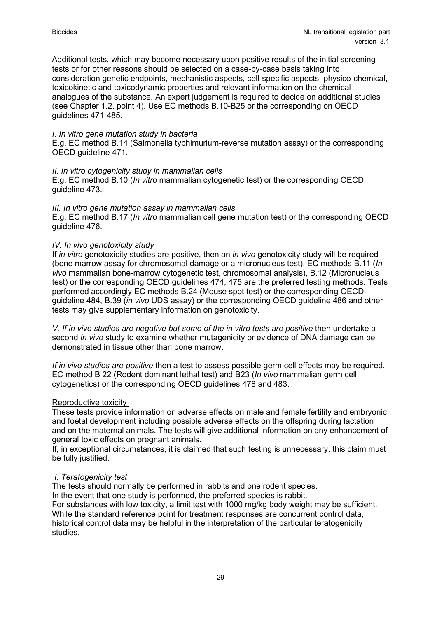Additional tests, which may become necessary upon positive results of the initial screening tests or for other reasons should be selected on a case-by-case basis taking into consideration genetic endpoints, mechanistic aspects, cell-specific aspects, physico-chemical, toxicokinetic and toxicodynamic properties and relevant information on the chemical analogues of the substance. An expert judgement is required to decide on additional studies (see Chapter 1.2, point 4). Use EC methods B.10-B25 or the corresponding on OECD guidelines 471-485.

#### *I. In vitro gene mutation study in bacteria*

E.g. EC method B.14 (Salmonella typhimurium-reverse mutation assay) or the corresponding OECD guideline 471.

#### *II. In vitro cytogenicity study in mammalian cells*

E.g. EC method B.10 (*In vitro* mammalian cytogenetic test) or the corresponding OECD guideline 473.

#### *III. In vitro gene mutation assay in mammalian cells*

E.g. EC method B.17 (*In vitro* mammalian cell gene mutation test) or the corresponding OECD guideline 476.

#### *IV. In vivo genotoxicity study*

If *in vitro* genotoxicity studies are positive, then an *in vivo* genotoxicity study will be required (bone marrow assay for chromosomal damage or a micronucleus test). EC methods B.11 (*In vivo* mammalian bone-marrow cytogenetic test, chromosomal analysis), B.12 (Micronucleus test) or the corresponding OECD guidelines 474, 475 are the preferred testing methods. Tests performed accordingly EC methods B.24 (Mouse spot test) or the corresponding OECD guideline 484, B.39 (*in vivo* UDS assay) or the corresponding OECD guideline 486 and other tests may give supplementary information on genotoxicity.

*V. If in vivo studies are negative but some of the in vitro tests are positive* then undertake a second *in vivo* study to examine whether mutagenicity or evidence of DNA damage can be demonstrated in tissue other than bone marrow.

*If in vivo studies are positive* then a test to assess possible germ cell effects may be required. EC method B 22 (Rodent dominant lethal test) and B23 (*In vivo* mammalian germ cell cytogenetics) or the corresponding OECD guidelines 478 and 483.

#### Reproductive toxicity

These tests provide information on adverse effects on male and female fertility and embryonic and foetal development including possible adverse effects on the offspring during lactation and on the maternal animals. The tests will give additional information on any enhancement of general toxic effects on pregnant animals.

If, in exceptional circumstances, it is claimed that such testing is unnecessary, this claim must be fully justified.

#### *I. Teratogenicity test*

The tests should normally be performed in rabbits and one rodent species.

In the event that one study is performed, the preferred species is rabbit.

For substances with low toxicity, a limit test with 1000 mg/kg body weight may be sufficient. While the standard reference point for treatment responses are concurrent control data, historical control data may be helpful in the interpretation of the particular teratogenicity studies.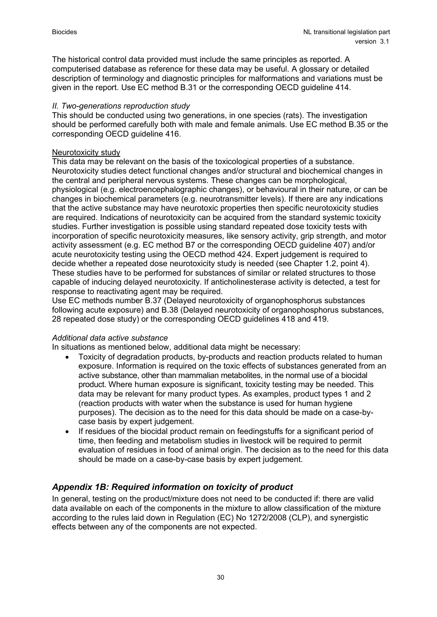The historical control data provided must include the same principles as reported. A computerised database as reference for these data may be useful. A glossary or detailed description of terminology and diagnostic principles for malformations and variations must be given in the report. Use EC method B.31 or the corresponding OECD guideline 414.

#### *II. Two-generations reproduction study*

This should be conducted using two generations, in one species (rats). The investigation should be performed carefully both with male and female animals. Use EC method B.35 or the corresponding OECD guideline 416.

#### Neurotoxicity study

This data may be relevant on the basis of the toxicological properties of a substance. Neurotoxicity studies detect functional changes and/or structural and biochemical changes in the central and peripheral nervous systems. These changes can be morphological, physiological (e.g. electroencephalographic changes), or behavioural in their nature, or can be changes in biochemical parameters (e.g. neurotransmitter levels). If there are any indications that the active substance may have neurotoxic properties then specific neurotoxicity studies are required. Indications of neurotoxicity can be acquired from the standard systemic toxicity studies. Further investigation is possible using standard repeated dose toxicity tests with incorporation of specific neurotoxicity measures, like sensory activity, grip strength, and motor activity assessment (e.g. EC method B7 or the corresponding OECD guideline 407) and/or acute neurotoxicity testing using the OECD method 424. Expert judgement is required to decide whether a repeated dose neurotoxicity study is needed (see Chapter 1.2, point 4). These studies have to be performed for substances of similar or related structures to those capable of inducing delayed neurotoxicity. If anticholinesterase activity is detected, a test for response to reactivating agent may be required.

Use EC methods number B.37 (Delayed neurotoxicity of organophosphorus substances following acute exposure) and B.38 (Delayed neurotoxicity of organophosphorus substances, 28 repeated dose study) or the corresponding OECD guidelines 418 and 419.

#### *Additional data active substance*

In situations as mentioned below, additional data might be necessary:

- Toxicity of degradation products, by-products and reaction products related to human exposure. Information is required on the toxic effects of substances generated from an active substance, other than mammalian metabolites, in the normal use of a biocidal product. Where human exposure is significant, toxicity testing may be needed. This data may be relevant for many product types. As examples, product types 1 and 2 (reaction products with water when the substance is used for human hygiene purposes). The decision as to the need for this data should be made on a case-bycase basis by expert judgement.
- If residues of the biocidal product remain on feedingstuffs for a significant period of time, then feeding and metabolism studies in livestock will be required to permit evaluation of residues in food of animal origin. The decision as to the need for this data should be made on a case-by-case basis by expert judgement.

# *Appendix 1B: Required information on toxicity of product*

In general, testing on the product/mixture does not need to be conducted if: there are valid data available on each of the components in the mixture to allow classification of the mixture according to the rules laid down in Regulation (EC) No 1272/2008 (CLP), and synergistic effects between any of the components are not expected.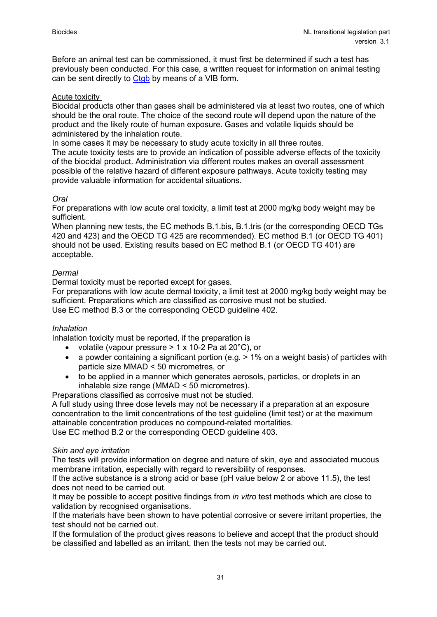Before an animal test can be commissioned, it must first be determined if such a test has previously been conducted. For this case, a written request for information on animal testing can be sent directly to [Ctgb](https://english.ctgb.nl/biocidal-products/application-transitional-legislation/rfi-animal-testing) by means of a VIB form.

#### Acute toxicity

Biocidal products other than gases shall be administered via at least two routes, one of which should be the oral route. The choice of the second route will depend upon the nature of the product and the likely route of human exposure. Gases and volatile liquids should be administered by the inhalation route.

In some cases it may be necessary to study acute toxicity in all three routes.

The acute toxicity tests are to provide an indication of possible adverse effects of the toxicity of the biocidal product. Administration via different routes makes an overall assessment possible of the relative hazard of different exposure pathways. Acute toxicity testing may provide valuable information for accidental situations.

#### *Oral*

For preparations with low acute oral toxicity, a limit test at 2000 mg/kg body weight may be sufficient.

When planning new tests, the EC methods B.1.bis, B.1.tris (or the corresponding OECD TGs 420 and 423) and the OECD TG 425 are recommended). EC method B.1 (or OECD TG 401) should not be used. Existing results based on EC method B.1 (or OECD TG 401) are acceptable.

#### *Dermal*

Dermal toxicity must be reported except for gases.

For preparations with low acute dermal toxicity, a limit test at 2000 mg/kg body weight may be sufficient. Preparations which are classified as corrosive must not be studied. Use EC method B.3 or the corresponding OECD guideline 402.

#### *Inhalation*

Inhalation toxicity must be reported, if the preparation is

- volatile (vapour pressure  $> 1 \times 10-2$  Pa at 20 $^{\circ}$ C), or
- a powder containing a significant portion (e.g.  $> 1\%$  on a weight basis) of particles with particle size MMAD < 50 micrometres, or
- to be applied in a manner which generates aerosols, particles, or droplets in an inhalable size range (MMAD < 50 micrometres).

Preparations classified as corrosive must not be studied.

A full study using three dose levels may not be necessary if a preparation at an exposure concentration to the limit concentrations of the test guideline (limit test) or at the maximum attainable concentration produces no compound-related mortalities. Use EC method B.2 or the corresponding OECD guideline 403.

#### *Skin and eye irritation*

The tests will provide information on degree and nature of skin, eye and associated mucous membrane irritation, especially with regard to reversibility of responses.

If the active substance is a strong acid or base (pH value below 2 or above 11.5), the test does not need to be carried out.

It may be possible to accept positive findings from *in vitro* test methods which are close to validation by recognised organisations.

If the materials have been shown to have potential corrosive or severe irritant properties, the test should not be carried out.

If the formulation of the product gives reasons to believe and accept that the product should be classified and labelled as an irritant, then the tests not may be carried out.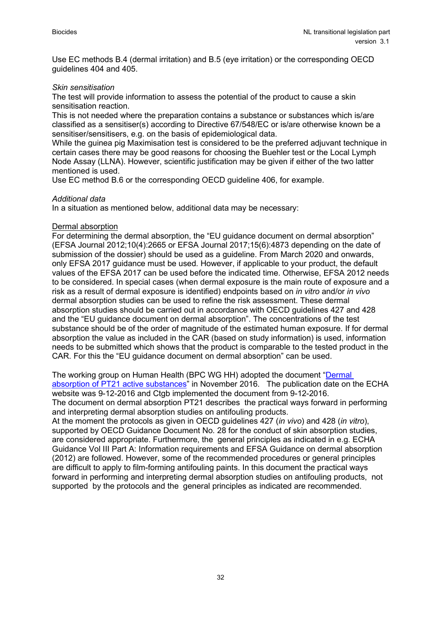Use EC methods B.4 (dermal irritation) and B.5 (eye irritation) or the corresponding OECD guidelines 404 and 405.

#### *Skin sensitisation*

The test will provide information to assess the potential of the product to cause a skin sensitisation reaction.

This is not needed where the preparation contains a substance or substances which is/are classified as a sensitiser(s) according to Directive 67/548/EC or is/are otherwise known be a sensitiser/sensitisers, e.g. on the basis of epidemiological data.

While the guinea pig Maximisation test is considered to be the preferred adjuvant technique in certain cases there may be good reasons for choosing the Buehler test or the Local Lymph Node Assay (LLNA). However, scientific justification may be given if either of the two latter mentioned is used.

Use EC method B.6 or the corresponding OECD guideline 406, for example.

#### *Additional data*

In a situation as mentioned below, additional data may be necessary:

#### Dermal absorption

For determining the dermal absorption, the "EU guidance document on dermal absorption" (EFSA Journal 2012;10(4):2665 or EFSA Journal 2017;15(6):4873 depending on the date of submission of the dossier) should be used as a guideline. From March 2020 and onwards, only EFSA 2017 guidance must be used. However, if applicable to your product, the default values of the EFSA 2017 can be used before the indicated time. Otherwise, EFSA 2012 needs to be considered. In special cases (when dermal exposure is the main route of exposure and a risk as a result of dermal exposure is identified) endpoints based on *in vitro* and/or *in vivo* dermal absorption studies can be used to refine the risk assessment. These dermal absorption studies should be carried out in accordance with OECD guidelines 427 and 428 and the "EU guidance document on dermal absorption". The concentrations of the test substance should be of the order of magnitude of the estimated human exposure. If for dermal absorption the value as included in the CAR (based on study information) is used, information needs to be submitted which shows that the product is comparable to the tested product in the CAR. For this the "EU guidance document on dermal absorption" can be used.

The working group on Human Health (BPC WG HH) adopted the document ["Dermal](https://echa.europa.eu/documents/10162/4221979/dermal_absorption_pt21_en.pdf/58daec9b-59b0-c679-e47f-60ad08ec0976)  [absorption of PT21 active substances"](https://echa.europa.eu/documents/10162/4221979/dermal_absorption_pt21_en.pdf/58daec9b-59b0-c679-e47f-60ad08ec0976) in November 2016. The publication date on the ECHA website was 9-12-2016 and Ctgb implemented the document from 9-12-2016.

The document on dermal absorption PT21 describes the practical ways forward in performing and interpreting dermal absorption studies on antifouling products.

At the moment the protocols as given in OECD guidelines 427 (*in vivo*) and 428 (*in vitro*), supported by OECD Guidance Document No. 28 for the conduct of skin absorption studies, are considered appropriate. Furthermore, the general principles as indicated in e.g. ECHA Guidance Vol III Part A: Information requirements and EFSA Guidance on dermal absorption (2012) are followed. However, some of the recommended procedures or general principles are difficult to apply to film-forming antifouling paints. In this document the practical ways forward in performing and interpreting dermal absorption studies on antifouling products, not supported by the protocols and the general principles as indicated are recommended.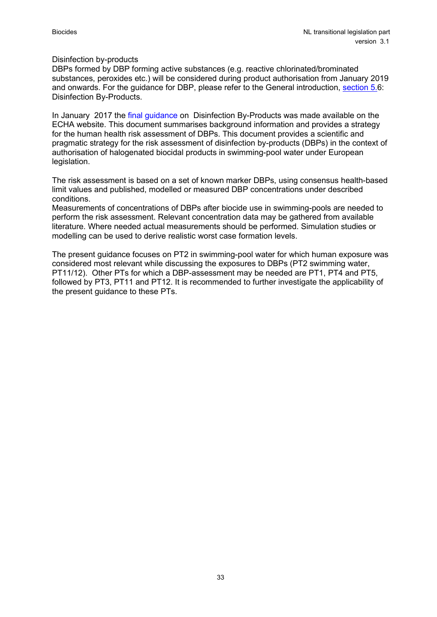#### Disinfection by-products

DBPs formed by DBP forming active substances (e.g. reactive chlorinated/brominated substances, peroxides etc.) will be considered during product authorisation from January 2019 and onwards. For the guidance for DBP, please refer to the General introduction, [section 5.6](https://english.ctgb.nl/biocidal-products/application-active-substance/substances-of-concern): Disinfection By-Products.

In January 2017 the [final guidance](https://echa.europa.eu/documents/10162/15623299/bpr_guidance_vol_v_dbp_en.pdf/a57a2905-923a-5aa3-ead8-45f5c5503daf) on Disinfection By-Products was made available on the ECHA website. This document summarises background information and provides a strategy for the human health risk assessment of DBPs. This document provides a scientific and pragmatic strategy for the risk assessment of disinfection by-products (DBPs) in the context of authorisation of halogenated biocidal products in swimming-pool water under European legislation.

The risk assessment is based on a set of known marker DBPs, using consensus health-based limit values and published, modelled or measured DBP concentrations under described conditions.

Measurements of concentrations of DBPs after biocide use in swimming-pools are needed to perform the risk assessment. Relevant concentration data may be gathered from available literature. Where needed actual measurements should be performed. Simulation studies or modelling can be used to derive realistic worst case formation levels.

The present guidance focuses on PT2 in swimming-pool water for which human exposure was considered most relevant while discussing the exposures to DBPs (PT2 swimming water, PT11/12). Other PTs for which a DBP-assessment may be needed are PT1, PT4 and PT5, followed by PT3, PT11 and PT12. It is recommended to further investigate the applicability of the present guidance to these PTs.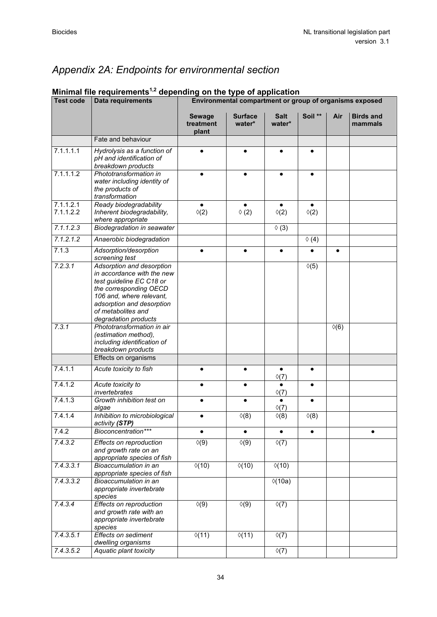# *Appendix 2A: Endpoints for environmental section*

| <b>Test code</b>       | Data requirements                                                                                                                                                                                                    | Environmental compartment or group of organisms exposed |                             |                             |                            |               |                             |
|------------------------|----------------------------------------------------------------------------------------------------------------------------------------------------------------------------------------------------------------------|---------------------------------------------------------|-----------------------------|-----------------------------|----------------------------|---------------|-----------------------------|
|                        |                                                                                                                                                                                                                      | <b>Sewage</b><br>treatment<br>plant                     | <b>Surface</b><br>water*    | <b>Salt</b><br>water*       | Soil **                    | Air           | <b>Birds and</b><br>mammals |
|                        | Fate and behaviour                                                                                                                                                                                                   |                                                         |                             |                             |                            |               |                             |
| 7.1.1.1.1              | Hydrolysis as a function of<br>pH and identification of<br>breakdown products                                                                                                                                        |                                                         | $\bullet$                   | $\bullet$                   | $\bullet$                  |               |                             |
| 7.1.1.1.2              | Phototransformation in<br>water including identity of<br>the products of<br>transformation                                                                                                                           |                                                         |                             |                             | $\bullet$                  |               |                             |
| 7.1.1.2.1<br>7.1.1.2.2 | Ready biodegradability<br>Inherent biodegradability,<br>where appropriate                                                                                                                                            | $\bullet$<br>$\Diamond(2)$                              | $\bullet$<br>$\Diamond$ (2) | $\Diamond(2)$               | $\bullet$<br>$\Diamond(2)$ |               |                             |
| 7.1.1.2.3              | <b>Biodegradation in seawater</b>                                                                                                                                                                                    |                                                         |                             | $\lozenge$ (3)              |                            |               |                             |
| 7.1.2.1.2              | Anaerobic biodegradation                                                                                                                                                                                             |                                                         |                             |                             | $\lozenge$ (4)             |               |                             |
| 7.1.3                  | Adsorption/desorption<br>screening test                                                                                                                                                                              |                                                         | $\bullet$                   | $\bullet$                   | $\bullet$                  | $\bullet$     |                             |
| 7.2.3.1                | Adsorption and desorption<br>in accordance with the new<br>test guideline EC C18 or<br>the corresponding OECD<br>106 and, where relevant,<br>adsorption and desorption<br>of metabolites and<br>degradation products |                                                         |                             |                             | $\lozenge(5)$              |               |                             |
| 7.3.1                  | Phototransformation in air<br>(estimation method),<br>including identification of<br>breakdown products                                                                                                              |                                                         |                             |                             |                            | $\Diamond(6)$ |                             |
|                        | Effects on organisms                                                                                                                                                                                                 |                                                         |                             |                             |                            |               |                             |
| 7.4.1.1                | Acute toxicity to fish                                                                                                                                                                                               |                                                         | $\bullet$                   | $\bullet$<br>$\Diamond$ (7) | $\bullet$                  |               |                             |
| 7.4.1.2                | Acute toxicity to<br>invertebrates                                                                                                                                                                                   | $\bullet$                                               | $\bullet$                   | $\bullet$<br>$\Diamond$ (7) | $\bullet$                  |               |                             |
| 7.4.1.3                | Growth inhibition test on<br>algae                                                                                                                                                                                   |                                                         | $\bullet$                   | $\bullet$<br>$\Diamond$ (7) | $\bullet$                  |               |                             |
| 7.4.1.4                | Inhibition to microbiological<br>activity (STP)                                                                                                                                                                      |                                                         | $\Diamond$ (8)              | $\Diamond$ (8)              | $\Diamond$ (8)             |               |                             |
| 7.4.2                  | Bioconcentration***                                                                                                                                                                                                  | ٠                                                       | $\bullet$                   | $\bullet$                   | $\bullet$                  |               | $\bullet$                   |
| 7.4.3.2                | Effects on reproduction<br>and growth rate on an<br>appropriate species of fish                                                                                                                                      | $\Diamond(9)$                                           | $\Diamond(9)$               | $\Diamond(7)$               |                            |               |                             |
| 7.4.3.3.1              | Bioaccumulation in an<br>appropriate species of fish                                                                                                                                                                 | $\Diamond(10)$                                          | $\Diamond(10)$              | $\Diamond(10)$              |                            |               |                             |
| 7.4.3.3.2              | Bioaccumulation in an<br>appropriate invertebrate<br>species                                                                                                                                                         |                                                         |                             | $\sqrt{(10a)}$              |                            |               |                             |
| 7.4.3.4                | Effects on reproduction<br>and growth rate with an<br>appropriate invertebrate<br>species                                                                                                                            | $\Diamond(9)$                                           | $\sqrt[6]{(9)}$             | $\Diamond(7)$               |                            |               |                             |
| 7.4.3.5.1              | Effects on sediment<br>dwelling organisms                                                                                                                                                                            | $\sqrt{(11)}$                                           | $\sqrt{(11)}$               | $\Diamond(7)$               |                            |               |                             |
| 7.4.3.5.2              | Aquatic plant toxicity                                                                                                                                                                                               |                                                         |                             | $\sqrt[6]{(7)}$             |                            |               |                             |

# **Minimal file requirements1,2 depending on the type of application**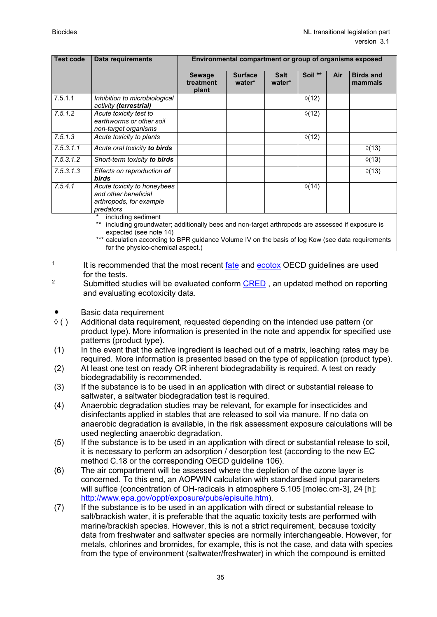| <b>Test code</b> | Data requirements                                                                           | Environmental compartment or group of organisms exposed |                          |                       |                 |     |                             |
|------------------|---------------------------------------------------------------------------------------------|---------------------------------------------------------|--------------------------|-----------------------|-----------------|-----|-----------------------------|
|                  |                                                                                             | <b>Sewage</b><br>treatment<br>plant                     | <b>Surface</b><br>water* | <b>Salt</b><br>water* | Soil **         | Air | <b>Birds and</b><br>mammals |
| 7.5.1.1          | Inhibition to microbiological<br>activity (terrestrial)                                     |                                                         |                          |                       | $\Diamond$ (12) |     |                             |
| 7.5.1.2          | Acute toxicity test to<br>earthworms or other soil<br>non-target organisms                  |                                                         |                          |                       | $\Diamond$ (12) |     |                             |
| 7.5.1.3          | Acute toxicity to plants                                                                    |                                                         |                          |                       | $\Diamond$ (12) |     |                             |
| 7.5.3.1.1        | Acute oral toxicity to birds                                                                |                                                         |                          |                       |                 |     | $\Diamond$ (13)             |
| 7.5.3.1.2        | Short-term toxicity to birds                                                                |                                                         |                          |                       |                 |     | $\Diamond$ (13)             |
| 7.5.3.1.3        | Effects on reproduction of<br><b>birds</b>                                                  |                                                         |                          |                       |                 |     | $\Diamond$ (13)             |
| 7.5.4.1          | Acute toxicity to honeybees<br>and other beneficial<br>arthropods, for example<br>predators |                                                         |                          |                       | $\Diamond$ (14) |     |                             |

including sediment

including groundwater; additionally bees and non-target arthropods are assessed if exposure is expected (see note 14)

\*\*\* calculation according to BPR guidance Volume IV on the basis of log Kow (see data requirements for the physico-chemical aspect.)

<sup>1</sup> It is recommended that the most recent [fate](http://www.oecd-ilibrary.org/environment/oecd-guidelines-for-the-testing-of-chemicals-section-2-effects-on-biotic-systems_20745761) and [ecotox](http://www.oecd-ilibrary.org/environment/oecd-guidelines-for-the-testing-of-chemicals-section-2-effects-on-biotic-systems_20745761) OECD guidelines are used

for the tests.<br><sup>2</sup> Submitted studies will be evaluated conform <u>CRED</u> , an updated method on reporting and evaluating ecotoxicity data.

- 
- $\bullet$  Basic data requirement<br> $\Diamond$  () Additional data requiren Additional data requirement, requested depending on the intended use pattern (or product type). More information is presented in the note and appendix for specified use patterns (product type).
- (1) In the event that the active ingredient is leached out of a matrix, leaching rates may be required. More information is presented based on the type of application (product type).
- (2) At least one test on ready OR inherent biodegradability is required. A test on ready biodegradability is recommended.
- (3) If the substance is to be used in an application with direct or substantial release to saltwater, a saltwater biodegradation test is required.
- (4) Anaerobic degradation studies may be relevant, for example for insecticides and disinfectants applied in stables that are released to soil via manure. If no data on anaerobic degradation is available, in the risk assessment exposure calculations will be used neglecting anaerobic degradation.
- (5) If the substance is to be used in an application with direct or substantial release to soil, it is necessary to perform an adsorption / desorption test (according to the new EC method C.18 or the corresponding OECD guideline 106).
- (6) The air compartment will be assessed where the depletion of the ozone layer is concerned. To this end, an AOPWIN calculation with standardised input parameters will suffice (concentration of OH-radicals in atmosphere 5.105 [molec.cm-3], 24 [h]; [http://www.epa.gov/oppt/exposure/pubs/episuite.htm\)](http://www.epa.gov/oppt/exposure/pubs/episuite.htm).
- (7) If the substance is to be used in an application with direct or substantial release to salt/brackish water, it is preferable that the aquatic toxicity tests are performed with marine/brackish species. However, this is not a strict requirement, because toxicity data from freshwater and saltwater species are normally interchangeable. However, for metals, chlorines and bromides, for example, this is not the case, and data with species from the type of environment (saltwater/freshwater) in which the compound is emitted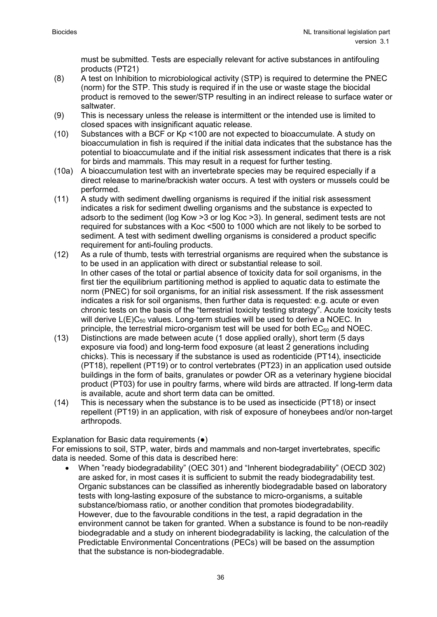must be submitted. Tests are especially relevant for active substances in antifouling products (PT21)

- (8) A test on Inhibition to microbiological activity (STP) is required to determine the PNEC (norm) for the STP. This study is required if in the use or waste stage the biocidal product is removed to the sewer/STP resulting in an indirect release to surface water or saltwater.
- (9) This is necessary unless the release is intermittent or the intended use is limited to closed spaces with insignificant aquatic release.
- (10) Substances with a BCF or Kp <100 are not expected to bioaccumulate. A study on bioaccumulation in fish is required if the initial data indicates that the substance has the potential to bioaccumulate and if the initial risk assessment indicates that there is a risk for birds and mammals. This may result in a request for further testing.
- (10a) A bioaccumulation test with an invertebrate species may be required especially if a direct release to marine/brackish water occurs. A test with oysters or mussels could be performed.
- (11) A study with sediment dwelling organisms is required if the initial risk assessment indicates a risk for sediment dwelling organisms and the substance is expected to adsorb to the sediment (log Kow >3 or log Koc >3). In general, sediment tests are not required for substances with a Koc <500 to 1000 which are not likely to be sorbed to sediment. A test with sediment dwelling organisms is considered a product specific requirement for anti-fouling products.
- (12) As a rule of thumb, tests with terrestrial organisms are required when the substance is to be used in an application with direct or substantial release to soil. In other cases of the total or partial absence of toxicity data for soil organisms, in the first tier the equilibrium partitioning method is applied to aquatic data to estimate the norm (PNEC) for soil organisms, for an initial risk assessment. If the risk assessment indicates a risk for soil organisms, then further data is requested: e.g. acute or even chronic tests on the basis of the "terrestrial toxicity testing strategy". Acute toxicity tests will derive  $L(E)C_{50}$  values. Long-term studies will be used to derive a NOEC. In principle, the terrestrial micro-organism test will be used for both  $EC_{50}$  and NOEC.
- (13) Distinctions are made between acute (1 dose applied orally), short term (5 days exposure via food) and long-term food exposure (at least 2 generations including chicks). This is necessary if the substance is used as rodenticide (PT14), insecticide (PT18), repellent (PT19) or to control vertebrates (PT23) in an application used outside buildings in the form of baits, granulates or powder OR as a veterinary hygiene biocidal product (PT03) for use in poultry farms, where wild birds are attracted. If long-term data is available, acute and short term data can be omitted.
- (14) This is necessary when the substance is to be used as insecticide (PT18) or insect repellent (PT19) in an application, with risk of exposure of honeybees and/or non-target arthropods.

#### Explanation for Basic data requirements (●)

For emissions to soil, STP, water, birds and mammals and non-target invertebrates, specific data is needed. Some of this data is described here:

• When "ready biodegradability" (OEC 301) and "Inherent biodegradability" (OECD 302) are asked for, in most cases it is sufficient to submit the ready biodegradability test. Organic substances can be classified as inherently biodegradable based on laboratory tests with long-lasting exposure of the substance to micro-organisms, a suitable substance/biomass ratio, or another condition that promotes biodegradability. However, due to the favourable conditions in the test, a rapid degradation in the environment cannot be taken for granted. When a substance is found to be non-readily biodegradable and a study on inherent biodegradability is lacking, the calculation of the Predictable Environmental Concentrations (PECs) will be based on the assumption that the substance is non-biodegradable.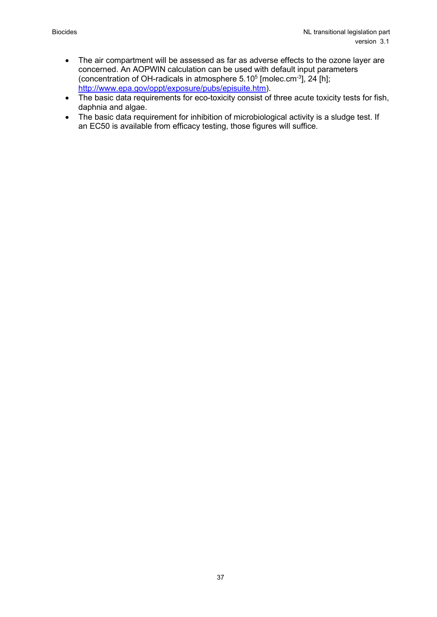- The air compartment will be assessed as far as adverse effects to the ozone layer are concerned. An AOPWIN calculation can be used with default input parameters (concentration of OH-radicals in atmosphere  $5.10<sup>5</sup>$  [molec.cm<sup>-3</sup>], 24 [h]; [http://www.epa.gov/oppt/exposure/pubs/episuite.htm\)](http://www.epa.gov/oppt/exposure/pubs/episuite.htm).
- The basic data requirements for eco-toxicity consist of three acute toxicity tests for fish, daphnia and algae.
- The basic data requirement for inhibition of microbiological activity is a sludge test. If an EC50 is available from efficacy testing, those figures will suffice.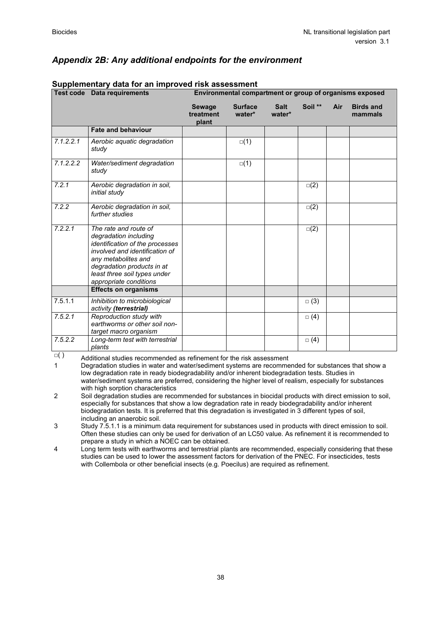|           | Supplementary data for an improved risk assessment<br><b>Test code Data requirements</b>                                                                                                                                           | Environmental compartment or group of organisms exposed |                          |                       |            |     |                             |
|-----------|------------------------------------------------------------------------------------------------------------------------------------------------------------------------------------------------------------------------------------|---------------------------------------------------------|--------------------------|-----------------------|------------|-----|-----------------------------|
|           |                                                                                                                                                                                                                                    | <b>Sewage</b><br>treatment<br>plant                     | <b>Surface</b><br>water* | <b>Salt</b><br>water* | Soil **    | Air | <b>Birds and</b><br>mammals |
|           | <b>Fate and behaviour</b>                                                                                                                                                                                                          |                                                         |                          |                       |            |     |                             |
| 7.1.2.2.1 | Aerobic aquatic degradation<br>study                                                                                                                                                                                               |                                                         | $\square(1)$             |                       |            |     |                             |
| 7.1.2.2.2 | Water/sediment degradation<br>study                                                                                                                                                                                                |                                                         | $\square(1)$             |                       |            |     |                             |
| 7.2.1     | Aerobic degradation in soil,<br>initial study                                                                                                                                                                                      |                                                         |                          |                       | $\Box(2)$  |     |                             |
| 7.2.2     | Aerobic degradation in soil,<br>further studies                                                                                                                                                                                    |                                                         |                          |                       | $\Box(2)$  |     |                             |
| 7.2.2.1   | The rate and route of<br>degradation including<br>identification of the processes<br>involved and identification of<br>any metabolites and<br>degradation products in at<br>least three soil types under<br>appropriate conditions |                                                         |                          |                       | $\Box(2)$  |     |                             |
|           | <b>Effects on organisms</b>                                                                                                                                                                                                        |                                                         |                          |                       |            |     |                             |
| 7.5.1.1   | Inhibition to microbiological<br>activity (terrestrial)                                                                                                                                                                            |                                                         |                          |                       | $\Box$ (3) |     |                             |
| 7.5.2.1   | Reproduction study with<br>earthworms or other soil non-<br>target macro organism                                                                                                                                                  |                                                         |                          |                       | $\Box$ (4) |     |                             |
| 7.5.2.2   | Long-term test with terrestrial<br>plants                                                                                                                                                                                          |                                                         |                          |                       | $\Box$ (4) |     |                             |

 $\Box$  ) Additional studies recommended as refinement for the risk assessment 1 Degradation studies in water and water/sediment systems are recomme

Degradation studies in water and water/sediment systems are recommended for substances that show a low degradation rate in ready biodegradability and/or inherent biodegradation tests. Studies in water/sediment systems are preferred, considering the higher level of realism, especially for substances with high sorption characteristics

2 Soil degradation studies are recommended for substances in biocidal products with direct emission to soil, especially for substances that show a low degradation rate in ready biodegradability and/or inherent biodegradation tests. It is preferred that this degradation is investigated in 3 different types of soil, including an anaerobic soil.

3 Study 7.5.1.1 is a minimum data requirement for substances used in products with direct emission to soil. Often these studies can only be used for derivation of an LC50 value. As refinement it is recommended to prepare a study in which a NOEC can be obtained.

4 Long term tests with earthworms and terrestrial plants are recommended, especially considering that these studies can be used to lower the assessment factors for derivation of the PNEC. For insecticides, tests with Collembola or other beneficial insects (e.g. Poecilus) are required as refinement.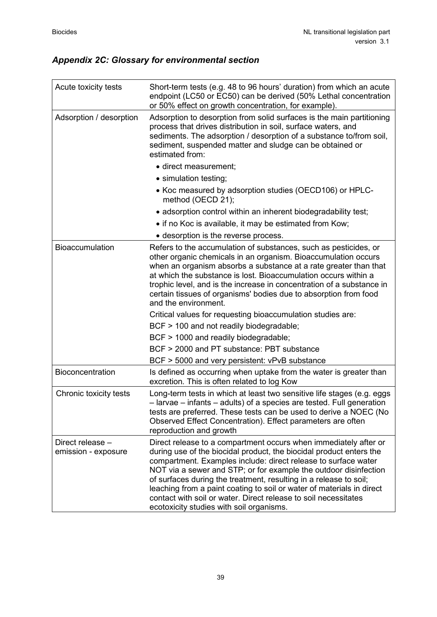# *Appendix 2C: Glossary for environmental section*

| Acute toxicity tests                    | Short-term tests (e.g. 48 to 96 hours' duration) from which an acute<br>endpoint (LC50 or EC50) can be derived (50% Lethal concentration<br>or 50% effect on growth concentration, for example).                                                                                                                                                                                                                                                                                                                                           |
|-----------------------------------------|--------------------------------------------------------------------------------------------------------------------------------------------------------------------------------------------------------------------------------------------------------------------------------------------------------------------------------------------------------------------------------------------------------------------------------------------------------------------------------------------------------------------------------------------|
| Adsorption / desorption                 | Adsorption to desorption from solid surfaces is the main partitioning<br>process that drives distribution in soil, surface waters, and<br>sediments. The adsorption / desorption of a substance to/from soil,<br>sediment, suspended matter and sludge can be obtained or<br>estimated from:                                                                                                                                                                                                                                               |
|                                         | · direct measurement;                                                                                                                                                                                                                                                                                                                                                                                                                                                                                                                      |
|                                         | • simulation testing;                                                                                                                                                                                                                                                                                                                                                                                                                                                                                                                      |
|                                         | • Koc measured by adsorption studies (OECD106) or HPLC-<br>method (OECD 21);                                                                                                                                                                                                                                                                                                                                                                                                                                                               |
|                                         | • adsorption control within an inherent biodegradability test;                                                                                                                                                                                                                                                                                                                                                                                                                                                                             |
|                                         | • if no Koc is available, it may be estimated from Kow;                                                                                                                                                                                                                                                                                                                                                                                                                                                                                    |
|                                         | • desorption is the reverse process.                                                                                                                                                                                                                                                                                                                                                                                                                                                                                                       |
| Bioaccumulation                         | Refers to the accumulation of substances, such as pesticides, or<br>other organic chemicals in an organism. Bioaccumulation occurs<br>when an organism absorbs a substance at a rate greater than that<br>at which the substance is lost. Bioaccumulation occurs within a<br>trophic level, and is the increase in concentration of a substance in<br>certain tissues of organisms' bodies due to absorption from food<br>and the environment.                                                                                             |
|                                         | Critical values for requesting bioaccumulation studies are:                                                                                                                                                                                                                                                                                                                                                                                                                                                                                |
|                                         | BCF > 100 and not readily biodegradable;                                                                                                                                                                                                                                                                                                                                                                                                                                                                                                   |
|                                         | BCF > 1000 and readily biodegradable;                                                                                                                                                                                                                                                                                                                                                                                                                                                                                                      |
|                                         | BCF > 2000 and PT substance: PBT substance                                                                                                                                                                                                                                                                                                                                                                                                                                                                                                 |
|                                         | BCF > 5000 and very persistent: vPvB substance                                                                                                                                                                                                                                                                                                                                                                                                                                                                                             |
| <b>Bioconcentration</b>                 | Is defined as occurring when uptake from the water is greater than<br>excretion. This is often related to log Kow                                                                                                                                                                                                                                                                                                                                                                                                                          |
| Chronic toxicity tests                  | Long-term tests in which at least two sensitive life stages (e.g. eggs<br>- larvae - infants - adults) of a species are tested. Full generation<br>tests are preferred. These tests can be used to derive a NOEC (No<br>Observed Effect Concentration). Effect parameters are often<br>reproduction and growth                                                                                                                                                                                                                             |
| Direct release -<br>emission - exposure | Direct release to a compartment occurs when immediately after or<br>during use of the biocidal product, the biocidal product enters the<br>compartment. Examples include: direct release to surface water<br>NOT via a sewer and STP; or for example the outdoor disinfection<br>of surfaces during the treatment, resulting in a release to soil;<br>leaching from a paint coating to soil or water of materials in direct<br>contact with soil or water. Direct release to soil necessitates<br>ecotoxicity studies with soil organisms. |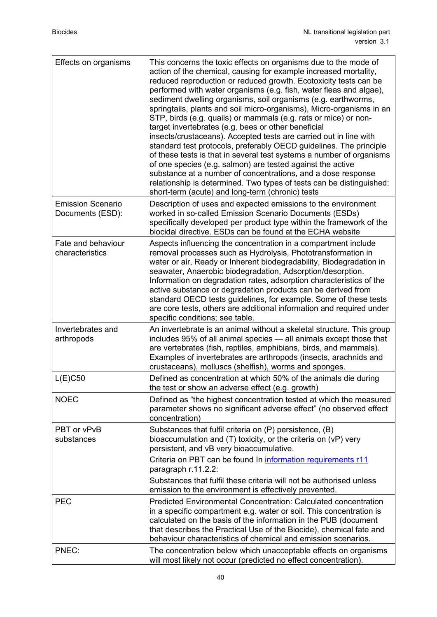| Effects on organisms                         | This concerns the toxic effects on organisms due to the mode of<br>action of the chemical, causing for example increased mortality,<br>reduced reproduction or reduced growth. Ecotoxicity tests can be<br>performed with water organisms (e.g. fish, water fleas and algae),<br>sediment dwelling organisms, soil organisms (e.g. earthworms,<br>springtails, plants and soil micro-organisms), Micro-organisms in an<br>STP, birds (e.g. quails) or mammals (e.g. rats or mice) or non-<br>target invertebrates (e.g. bees or other beneficial<br>insects/crustaceans). Accepted tests are carried out in line with<br>standard test protocols, preferably OECD guidelines. The principle<br>of these tests is that in several test systems a number of organisms<br>of one species (e.g. salmon) are tested against the active<br>substance at a number of concentrations, and a dose response<br>relationship is determined. Two types of tests can be distinguished:<br>short-term (acute) and long-term (chronic) tests |
|----------------------------------------------|-------------------------------------------------------------------------------------------------------------------------------------------------------------------------------------------------------------------------------------------------------------------------------------------------------------------------------------------------------------------------------------------------------------------------------------------------------------------------------------------------------------------------------------------------------------------------------------------------------------------------------------------------------------------------------------------------------------------------------------------------------------------------------------------------------------------------------------------------------------------------------------------------------------------------------------------------------------------------------------------------------------------------------|
| <b>Emission Scenario</b><br>Documents (ESD): | Description of uses and expected emissions to the environment<br>worked in so-called Emission Scenario Documents (ESDs)<br>specifically developed per product type within the framework of the<br>biocidal directive. ESDs can be found at the ECHA website                                                                                                                                                                                                                                                                                                                                                                                                                                                                                                                                                                                                                                                                                                                                                                   |
| Fate and behaviour<br>characteristics        | Aspects influencing the concentration in a compartment include<br>removal processes such as Hydrolysis, Phototransformation in<br>water or air, Ready or Inherent biodegradability, Biodegradation in<br>seawater, Anaerobic biodegradation, Adsorption/desorption.<br>Information on degradation rates, adsorption characteristics of the<br>active substance or degradation products can be derived from<br>standard OECD tests guidelines, for example. Some of these tests<br>are core tests, others are additional information and required under<br>specific conditions; see table.                                                                                                                                                                                                                                                                                                                                                                                                                                     |
| Invertebrates and<br>arthropods              | An invertebrate is an animal without a skeletal structure. This group<br>includes 95% of all animal species - all animals except those that<br>are vertebrates (fish, reptiles, amphibians, birds, and mammals).<br>Examples of invertebrates are arthropods (insects, arachnids and<br>crustaceans), molluscs (shelfish), worms and sponges.                                                                                                                                                                                                                                                                                                                                                                                                                                                                                                                                                                                                                                                                                 |
| L(E)C50                                      | Defined as concentration at which 50% of the animals die during<br>the test or show an adverse effect (e.g. growth)                                                                                                                                                                                                                                                                                                                                                                                                                                                                                                                                                                                                                                                                                                                                                                                                                                                                                                           |
| <b>NOEC</b>                                  | Defined as "the highest concentration tested at which the measured<br>parameter shows no significant adverse effect" (no observed effect<br>concentration)                                                                                                                                                                                                                                                                                                                                                                                                                                                                                                                                                                                                                                                                                                                                                                                                                                                                    |
| PBT or vPvB<br>substances                    | Substances that fulfil criteria on (P) persistence, (B)<br>bioaccumulation and $(T)$ toxicity, or the criteria on $(VP)$ very<br>persistent, and vB very bioaccumulative.<br>Criteria on PBT can be found In information requirements r11                                                                                                                                                                                                                                                                                                                                                                                                                                                                                                                                                                                                                                                                                                                                                                                     |
|                                              | paragraph r.11.2.2:<br>Substances that fulfil these criteria will not be authorised unless                                                                                                                                                                                                                                                                                                                                                                                                                                                                                                                                                                                                                                                                                                                                                                                                                                                                                                                                    |
| <b>PEC</b>                                   | emission to the environment is effectively prevented.<br><b>Predicted Environmental Concentration: Calculated concentration</b><br>in a specific compartment e.g. water or soil. This concentration is<br>calculated on the basis of the information in the PUB (document<br>that describes the Practical Use of the Biocide), chemical fate and<br>behaviour characteristics of chemical and emission scenarios.                                                                                                                                                                                                                                                                                                                                                                                                                                                                                                                                                                                                             |
| PNEC:                                        | The concentration below which unacceptable effects on organisms<br>will most likely not occur (predicted no effect concentration).                                                                                                                                                                                                                                                                                                                                                                                                                                                                                                                                                                                                                                                                                                                                                                                                                                                                                            |